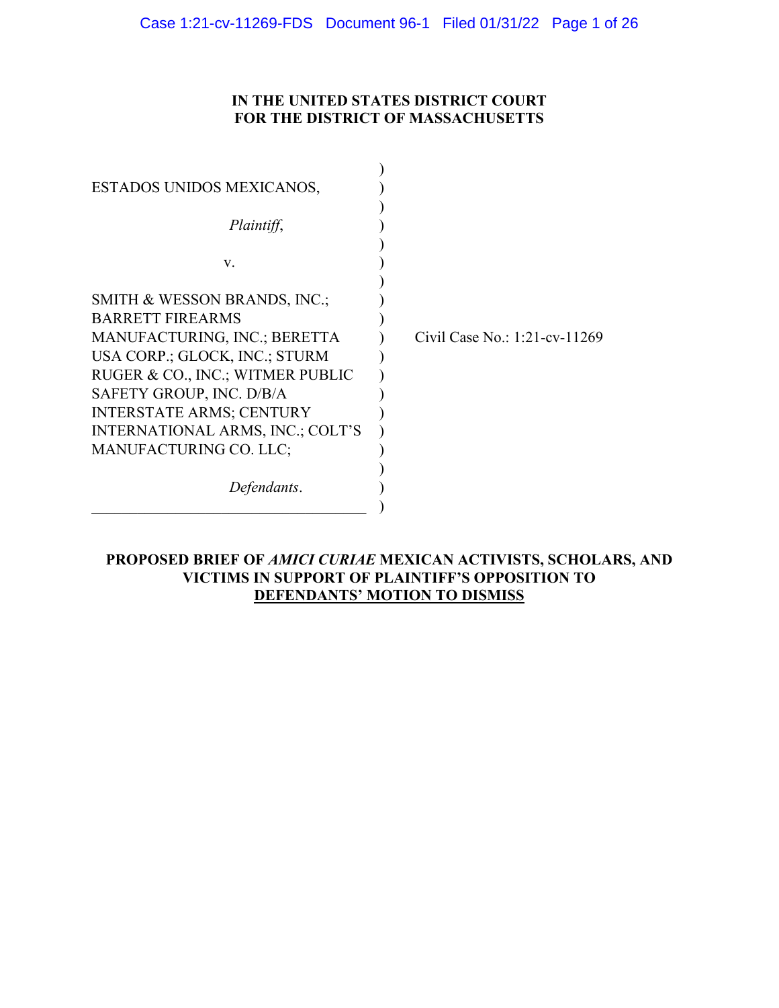## **IN THE UNITED STATES DISTRICT COURT FOR THE DISTRICT OF MASSACHUSETTS**

| ESTADOS UNIDOS MEXICANOS,        |                               |
|----------------------------------|-------------------------------|
|                                  |                               |
| Plaintiff,                       |                               |
|                                  |                               |
| V.                               |                               |
|                                  |                               |
| SMITH & WESSON BRANDS, INC.;     |                               |
| <b>BARRETT FIREARMS</b>          |                               |
| MANUFACTURING, INC.; BERETTA     | Civil Case No.: 1:21-cv-11269 |
| USA CORP.; GLOCK, INC.; STURM    |                               |
| RUGER & CO., INC.; WITMER PUBLIC |                               |
| SAFETY GROUP, INC. D/B/A         |                               |
| <b>INTERSTATE ARMS; CENTURY</b>  |                               |
| INTERNATIONAL ARMS, INC.; COLT'S |                               |
| MANUFACTURING CO. LLC;           |                               |
|                                  |                               |
| Defendants.                      |                               |
|                                  |                               |

## **PROPOSED BRIEF OF** *AMICI CURIAE* **MEXICAN ACTIVISTS, SCHOLARS, AND VICTIMS IN SUPPORT OF PLAINTIFF'S OPPOSITION TO DEFENDANTS' MOTION TO DISMISS**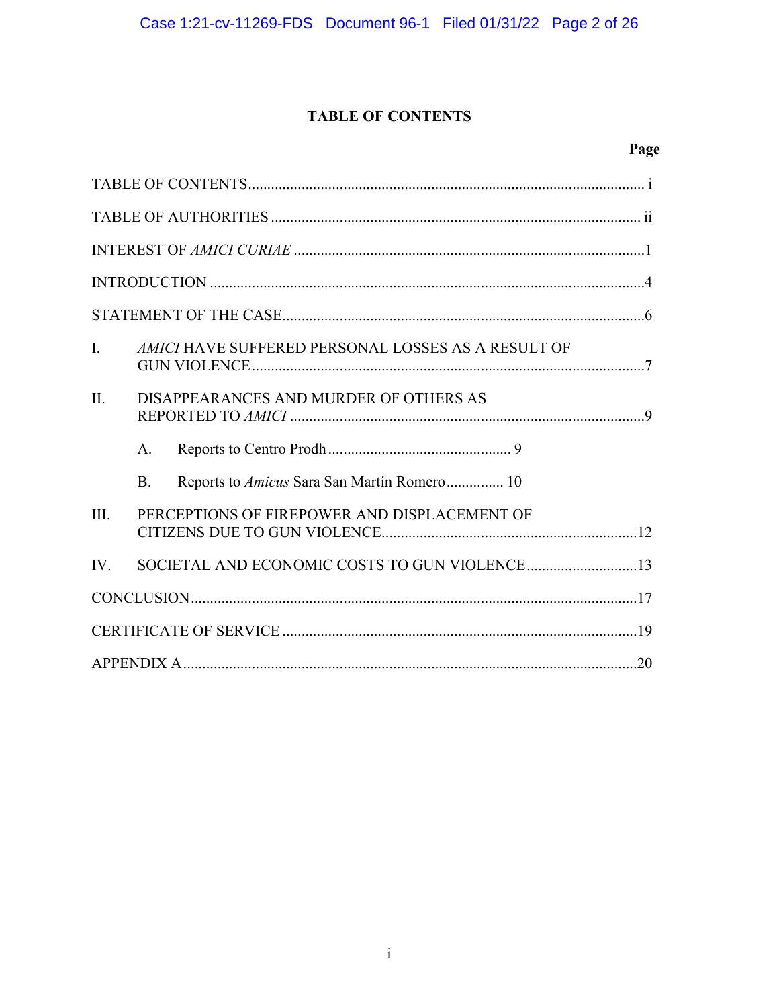## **TABLE OF CONTENTS**

<span id="page-1-0"></span>

| $\mathbf{I}$ .<br><i>AMICI</i> HAVE SUFFERED PERSONAL LOSSES AS A RESULT OF |  |
|-----------------------------------------------------------------------------|--|
| $\Pi$ .<br>DISAPPEARANCES AND MURDER OF OTHERS AS                           |  |
| A.                                                                          |  |
| Reports to Amicus Sara San Martín Romero 10<br><b>B.</b>                    |  |
| III.<br>PERCEPTIONS OF FIREPOWER AND DISPLACEMENT OF                        |  |
| SOCIETAL AND ECONOMIC COSTS TO GUN VIOLENCE13<br>$\mathbf{IV}_{\cdot}$      |  |
|                                                                             |  |
|                                                                             |  |
|                                                                             |  |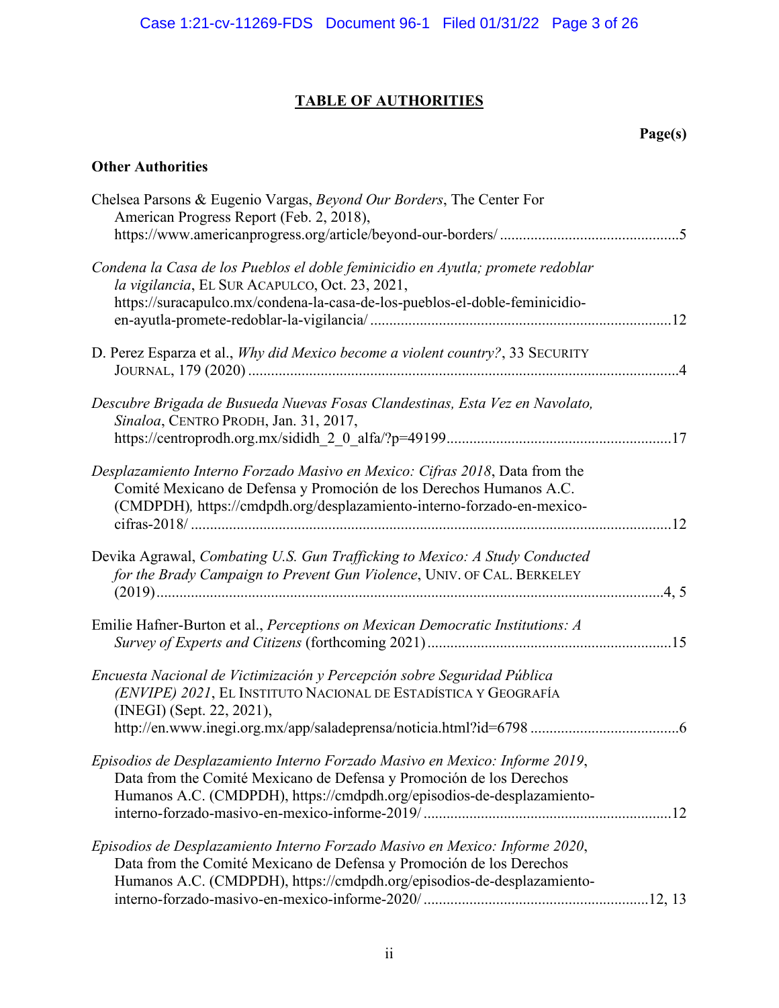## **TABLE OF AUTHORITIES**

## **Page(s)**

## <span id="page-2-0"></span>**Other Authorities**

| Chelsea Parsons & Eugenio Vargas, Beyond Our Borders, The Center For<br>American Progress Report (Feb. 2, 2018),                                                                                                              |  |
|-------------------------------------------------------------------------------------------------------------------------------------------------------------------------------------------------------------------------------|--|
| Condena la Casa de los Pueblos el doble feminicidio en Ayutla; promete redoblar<br>la vigilancia, EL SUR ACAPULCO, Oct. 23, 2021,<br>https://suracapulco.mx/condena-la-casa-de-los-pueblos-el-doble-feminicidio-              |  |
| D. Perez Esparza et al., Why did Mexico become a violent country?, 33 SECURITY                                                                                                                                                |  |
| Descubre Brigada de Busueda Nuevas Fosas Clandestinas, Esta Vez en Navolato,<br>Sinaloa, CENTRO PRODH, Jan. 31, 2017,                                                                                                         |  |
| Desplazamiento Interno Forzado Masivo en Mexico: Cifras 2018, Data from the<br>Comité Mexicano de Defensa y Promoción de los Derechos Humanos A.C.<br>(CMDPDH), https://cmdpdh.org/desplazamiento-interno-forzado-en-mexico-  |  |
| Devika Agrawal, Combating U.S. Gun Trafficking to Mexico: A Study Conducted<br>for the Brady Campaign to Prevent Gun Violence, UNIV. OF CAL. BERKELEY                                                                         |  |
| Emilie Hafner-Burton et al., Perceptions on Mexican Democratic Institutions: A                                                                                                                                                |  |
| Encuesta Nacional de Victimización y Percepción sobre Seguridad Pública<br>(ENVIPE) 2021, EL INSTITUTO NACIONAL DE ESTADÍSTICA Y GEOGRAFÍA<br>(INEGI) (Sept. 22, 2021),                                                       |  |
| Episodios de Desplazamiento Interno Forzado Masivo en Mexico: Informe 2019,<br>Data from the Comité Mexicano de Defensa y Promoción de los Derechos<br>Humanos A.C. (CMDPDH), https://cmdpdh.org/episodios-de-desplazamiento- |  |
| Episodios de Desplazamiento Interno Forzado Masivo en Mexico: Informe 2020,<br>Data from the Comité Mexicano de Defensa y Promoción de los Derechos<br>Humanos A.C. (CMDPDH), https://cmdpdh.org/episodios-de-desplazamiento- |  |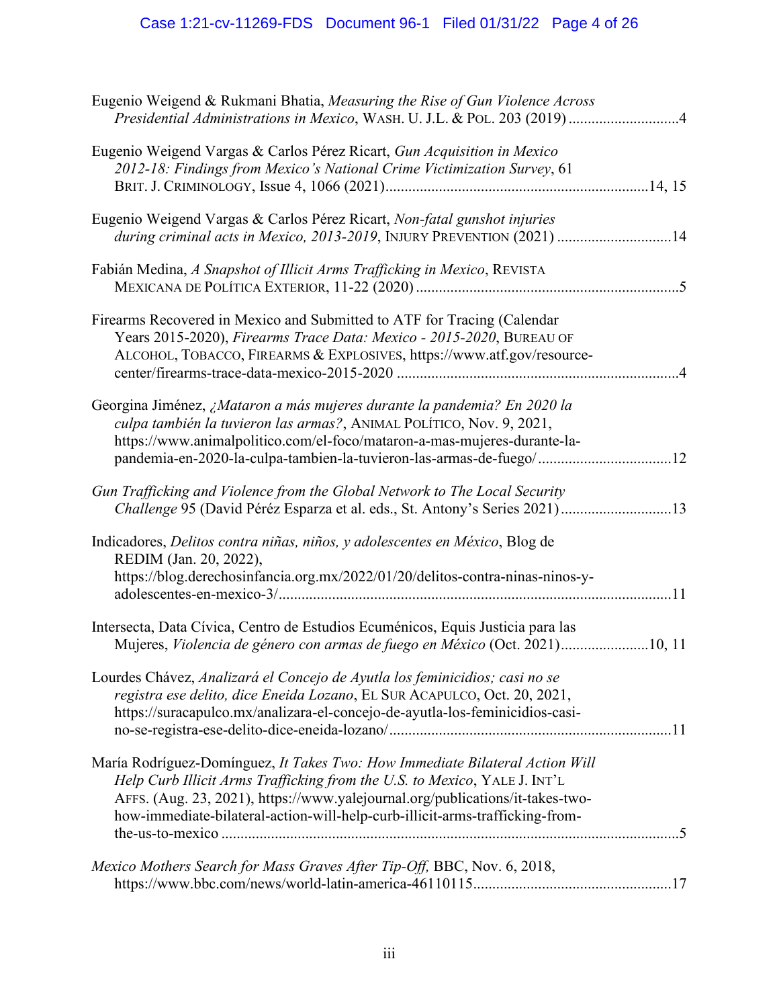# Case 1:21-cv-11269-FDS Document 96-1 Filed 01/31/22 Page 4 of 26

| Eugenio Weigend & Rukmani Bhatia, Measuring the Rise of Gun Violence Across                                                                                                                                                                                                                                                |  |
|----------------------------------------------------------------------------------------------------------------------------------------------------------------------------------------------------------------------------------------------------------------------------------------------------------------------------|--|
| Eugenio Weigend Vargas & Carlos Pérez Ricart, Gun Acquisition in Mexico<br>2012-18: Findings from Mexico's National Crime Victimization Survey, 61                                                                                                                                                                         |  |
| Eugenio Weigend Vargas & Carlos Pérez Ricart, Non-fatal gunshot injuries<br>during criminal acts in Mexico, 2013-2019, INJURY PREVENTION (2021) 14                                                                                                                                                                         |  |
| Fabián Medina, A Snapshot of Illicit Arms Trafficking in Mexico, REVISTA                                                                                                                                                                                                                                                   |  |
| Firearms Recovered in Mexico and Submitted to ATF for Tracing (Calendar<br>Years 2015-2020), Firearms Trace Data: Mexico - 2015-2020, BUREAU OF<br>ALCOHOL, TOBACCO, FIREARMS & EXPLOSIVES, https://www.atf.gov/resource-                                                                                                  |  |
| Georgina Jiménez, ¿Mataron a más mujeres durante la pandemia? En 2020 la<br>culpa también la tuvieron las armas?, ANIMAL POLÍTICO, Nov. 9, 2021,<br>https://www.animalpolitico.com/el-foco/mataron-a-mas-mujeres-durante-la-<br>pandemia-en-2020-la-culpa-tambien-la-tuvieron-las-armas-de-fuego/12                        |  |
| Gun Trafficking and Violence from the Global Network to The Local Security<br>Challenge 95 (David Péréz Esparza et al. eds., St. Antony's Series 2021)13                                                                                                                                                                   |  |
| Indicadores, Delitos contra niñas, niños, y adolescentes en México, Blog de<br>REDIM (Jan. 20, 2022),<br>https://blog.derechosinfancia.org.mx/2022/01/20/delitos-contra-ninas-ninos-y-                                                                                                                                     |  |
| Intersecta, Data Cívica, Centro de Estudios Ecuménicos, Equis Justicia para las<br>Mujeres, Violencia de género con armas de fuego en México (Oct. 2021)10, 11                                                                                                                                                             |  |
| Lourdes Chávez, Analizará el Concejo de Ayutla los feminicidios; casi no se<br>registra ese delito, dice Eneida Lozano, EL SUR ACAPULCO, Oct. 20, 2021,<br>https://suracapulco.mx/analizara-el-concejo-de-ayutla-los-feminicidios-casi-                                                                                    |  |
| María Rodríguez-Domínguez, It Takes Two: How Immediate Bilateral Action Will<br>Help Curb Illicit Arms Trafficking from the U.S. to Mexico, YALE J. INT'L<br>AFFS. (Aug. 23, 2021), https://www.yalejournal.org/publications/it-takes-two-<br>how-immediate-bilateral-action-will-help-curb-illicit-arms-trafficking-from- |  |
| Mexico Mothers Search for Mass Graves After Tip-Off, BBC, Nov. 6, 2018,                                                                                                                                                                                                                                                    |  |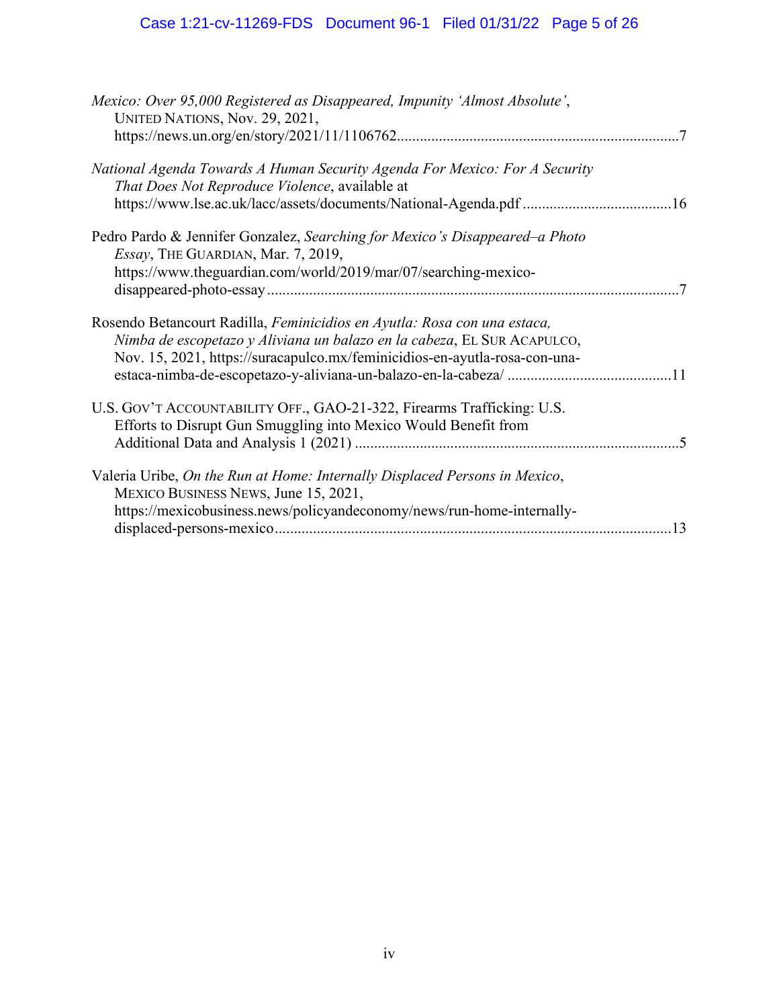# Case 1:21-cv-11269-FDS Document 96-1 Filed 01/31/22 Page 5 of 26

| Mexico: Over 95,000 Registered as Disappeared, Impunity 'Almost Absolute',<br>UNITED NATIONS, Nov. 29, 2021,                                                                                                                      |  |
|-----------------------------------------------------------------------------------------------------------------------------------------------------------------------------------------------------------------------------------|--|
| National Agenda Towards A Human Security Agenda For Mexico: For A Security<br>That Does Not Reproduce Violence, available at                                                                                                      |  |
| Pedro Pardo & Jennifer Gonzalez, Searching for Mexico's Disappeared-a Photo<br>Essay, THE GUARDIAN, Mar. 7, 2019,<br>https://www.theguardian.com/world/2019/mar/07/searching-mexico-                                              |  |
| Rosendo Betancourt Radilla, Feminicidios en Ayutla: Rosa con una estaca,<br>Nimba de escopetazo y Aliviana un balazo en la cabeza, EL SUR ACAPULCO,<br>Nov. 15, 2021, https://suracapulco.mx/feminicidios-en-ayutla-rosa-con-una- |  |
| U.S. GOV'T ACCOUNTABILITY OFF., GAO-21-322, Firearms Trafficking: U.S.<br>Efforts to Disrupt Gun Smuggling into Mexico Would Benefit from                                                                                         |  |
| Valeria Uribe, On the Run at Home: Internally Displaced Persons in Mexico,<br>MEXICO BUSINESS NEWS, June 15, 2021,<br>https://mexicobusiness.news/policyandeconomy/news/run-home-internally-                                      |  |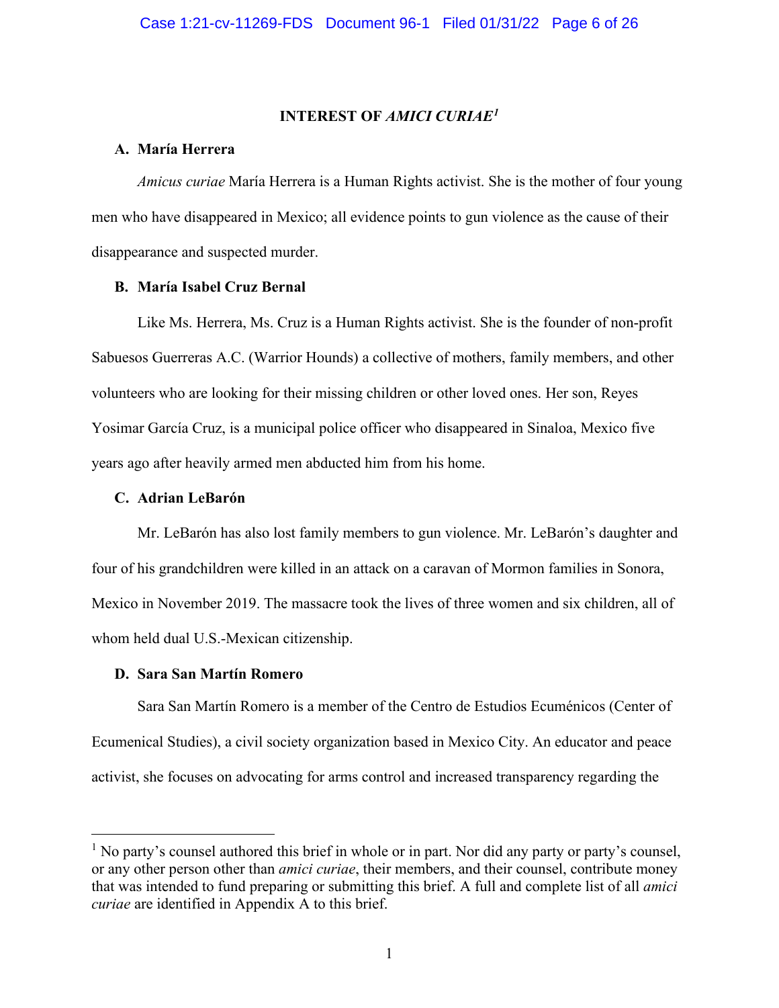#### **INTEREST OF** *AMICI CURIAE[1](#page-5-1)*

#### <span id="page-5-0"></span>**A. María Herrera**

*Amicus curiae* María Herrera is a Human Rights activist. She is the mother of four young men who have disappeared in Mexico; all evidence points to gun violence as the cause of their disappearance and suspected murder.

#### **B. María Isabel Cruz Bernal**

Like Ms. Herrera, Ms. Cruz is a Human Rights activist. She is the founder of non-profit Sabuesos Guerreras A.C. (Warrior Hounds) a collective of mothers, family members, and other volunteers who are looking for their missing children or other loved ones. Her son, Reyes Yosimar García Cruz, is a municipal police officer who disappeared in Sinaloa, Mexico five years ago after heavily armed men abducted him from his home.

#### **C. Adrian LeBarón**

Mr. LeBarón has also lost family members to gun violence. Mr. LeBarón's daughter and four of his grandchildren were killed in an attack on a caravan of Mormon families in Sonora, Mexico in November 2019. The massacre took the lives of three women and six children, all of whom held dual U.S.-Mexican citizenship.

#### **D. Sara San Martín Romero**

Sara San Martín Romero is a member of the Centro de Estudios Ecuménicos (Center of Ecumenical Studies), a civil society organization based in Mexico City. An educator and peace activist, she focuses on advocating for arms control and increased transparency regarding the

<span id="page-5-1"></span> $<sup>1</sup>$  No party's counsel authored this brief in whole or in part. Nor did any party or party's counsel,</sup> or any other person other than *amici curiae*, their members, and their counsel, contribute money that was intended to fund preparing or submitting this brief. A full and complete list of all *amici curiae* are identified in Appendix A to this brief.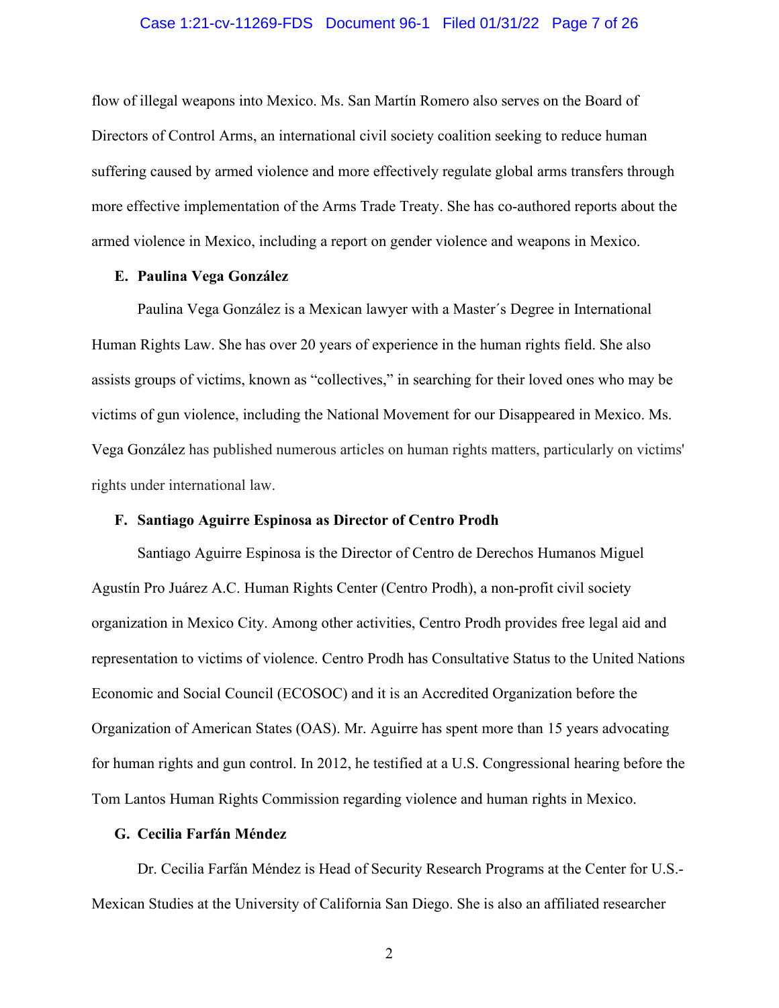#### Case 1:21-cv-11269-FDS Document 96-1 Filed 01/31/22 Page 7 of 26

flow of illegal weapons into Mexico. Ms. San Martín Romero also serves on the Board of Directors of Control Arms, an international civil society coalition seeking to reduce human suffering caused by armed violence and more effectively regulate global arms transfers through more effective implementation of the Arms Trade Treaty. She has co-authored reports about the armed violence in Mexico, including a report on gender violence and weapons in Mexico.

#### **E. Paulina Vega González**

Paulina Vega González is a Mexican lawyer with a Master´s Degree in International Human Rights Law. She has over 20 years of experience in the human rights field. She also assists groups of victims, known as "collectives," in searching for their loved ones who may be victims of gun violence, including the National Movement for our Disappeared in Mexico. Ms. Vega González has published numerous articles on human rights matters, particularly on victims' rights under international law.

#### **F. Santiago Aguirre Espinosa as Director of Centro Prodh**

Santiago Aguirre Espinosa is the Director of Centro de Derechos Humanos Miguel Agustín Pro Juárez A.C. Human Rights Center (Centro Prodh), a non-profit civil society organization in Mexico City. Among other activities, Centro Prodh provides free legal aid and representation to victims of violence. Centro Prodh has Consultative Status to the United Nations Economic and Social Council (ECOSOC) and it is an Accredited Organization before the Organization of American States (OAS). Mr. Aguirre has spent more than 15 years advocating for human rights and gun control. In 2012, he testified at a U.S. Congressional hearing before the Tom Lantos Human Rights Commission regarding violence and human rights in Mexico.

#### **G. Cecilia Farfán Méndez**

Dr. Cecilia Farfán Méndez is Head of Security Research Programs at the Center for U.S.- Mexican Studies at the University of California San Diego. She is also an affiliated researcher

2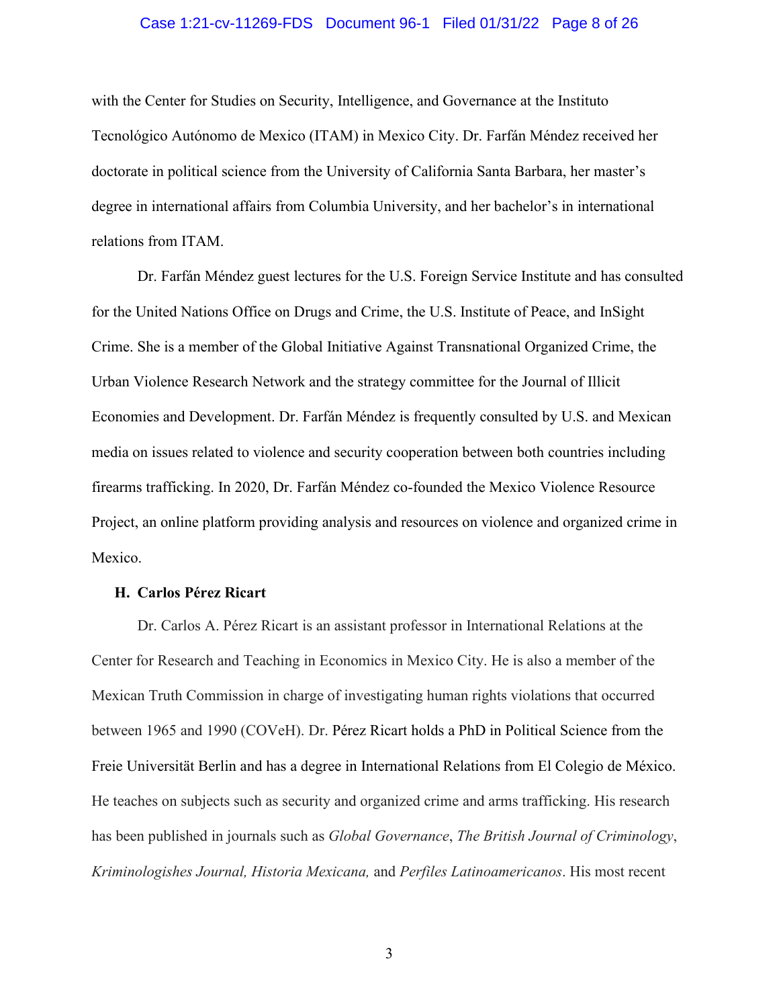#### Case 1:21-cv-11269-FDS Document 96-1 Filed 01/31/22 Page 8 of 26

with the Center for Studies on Security, Intelligence, and Governance at the Instituto Tecnológico Autónomo de Mexico (ITAM) in Mexico City. Dr. Farfán Méndez received her doctorate in political science from the University of California Santa Barbara, her master's degree in international affairs from Columbia University, and her bachelor's in international relations from ITAM.

Dr. Farfán Méndez guest lectures for the U.S. Foreign Service Institute and has consulted for the United Nations Office on Drugs and Crime, the U.S. Institute of Peace, and InSight Crime. She is a member of the Global Initiative Against Transnational Organized Crime, the Urban Violence Research Network and the strategy committee for the Journal of Illicit Economies and Development. Dr. Farfán Méndez is frequently consulted by U.S. and Mexican media on issues related to violence and security cooperation between both countries including firearms trafficking. In 2020, Dr. Farfán Méndez co-founded the Mexico Violence Resource Project, an online platform providing analysis and resources on violence and organized crime in Mexico.

#### **H. Carlos Pérez Ricart**

Dr. Carlos A. Pérez Ricart is an assistant professor in International Relations at the Center for Research and Teaching in Economics in Mexico City. He is also a member of the Mexican Truth Commission in charge of investigating human rights violations that occurred between 1965 and 1990 (COVeH). Dr. Pérez Ricart holds a PhD in Political Science from the Freie Universität Berlin and has a degree in International Relations from El Colegio de México. He teaches on subjects such as security and organized crime and arms trafficking. His research has been published in journals such as *Global Governance*, *The British Journal of Criminology*, *Kriminologishes Journal, Historia Mexicana,* and *Perfiles Latinoamericanos*. His most recent

3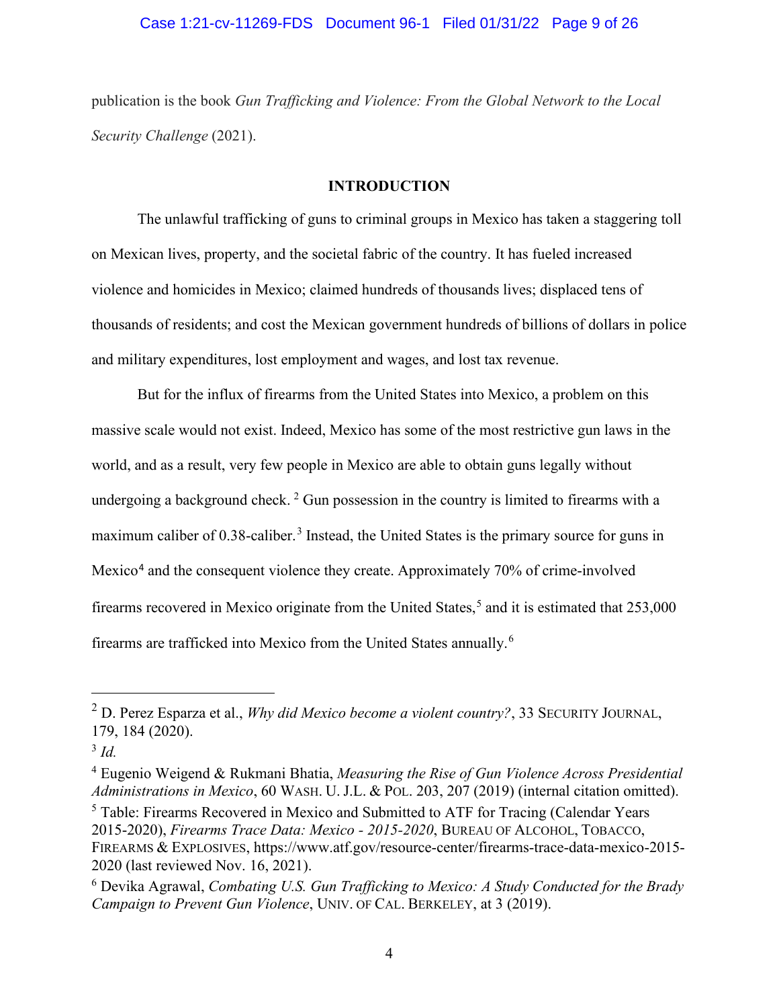#### Case 1:21-cv-11269-FDS Document 96-1 Filed 01/31/22 Page 9 of 26

publication is the book *Gun Trafficking and Violence: From the Global Network to the Local Security Challenge* (2021).

#### **INTRODUCTION**

<span id="page-8-0"></span>The unlawful trafficking of guns to criminal groups in Mexico has taken a staggering toll on Mexican lives, property, and the societal fabric of the country. It has fueled increased violence and homicides in Mexico; claimed hundreds of thousands lives; displaced tens of thousands of residents; and cost the Mexican government hundreds of billions of dollars in police and military expenditures, lost employment and wages, and lost tax revenue.

But for the influx of firearms from the United States into Mexico, a problem on this massive scale would not exist. Indeed, Mexico has some of the most restrictive gun laws in the world, and as a result, very few people in Mexico are able to obtain guns legally without undergoing a background check.<sup>[2](#page-8-5)</sup> Gun possession in the country is limited to firearms with a maximum caliber of 0.[3](#page-8-6)8-caliber.<sup>3</sup> Instead, the United States is the primary source for guns in Mexico<sup>[4](#page-8-7)</sup> and the consequent violence they create. Approximately 70% of crime-involved firearms recovered in Mexico originate from the United States,<sup>[5](#page-8-8)</sup> and it is estimated that  $253,000$ firearms are trafficked into Mexico from the United States annually.[6](#page-8-9)

<span id="page-8-8"></span><span id="page-8-7"></span><span id="page-8-4"></span><span id="page-8-3"></span><sup>4</sup> Eugenio Weigend & Rukmani Bhatia, *Measuring the Rise of Gun Violence Across Presidential Administrations in Mexico*, 60 WASH. U. J.L. & POL. 203, 207 (2019) (internal citation omitted). <sup>5</sup> Table: Firearms Recovered in Mexico and Submitted to ATF for Tracing (Calendar Years 2015-2020), *Firearms Trace Data: Mexico - 2015-2020*, BUREAU OF ALCOHOL, TOBACCO, FIREARMS & EXPLOSIVES, https://www.atf.gov/resource-center/firearms-trace-data-mexico-2015- 2020 (last reviewed Nov. 16, 2021).

<span id="page-8-5"></span><span id="page-8-1"></span><sup>2</sup> D. Perez Esparza et al., *Why did Mexico become a violent country?*, 33 SECURITY JOURNAL, 179, 184 (2020).

<span id="page-8-6"></span><sup>3</sup> *Id.*

<span id="page-8-9"></span><span id="page-8-2"></span><sup>6</sup> Devika Agrawal, *Combating U.S. Gun Trafficking to Mexico: A Study Conducted for the Brady Campaign to Prevent Gun Violence*, UNIV. OF CAL. BERKELEY, at 3 (2019).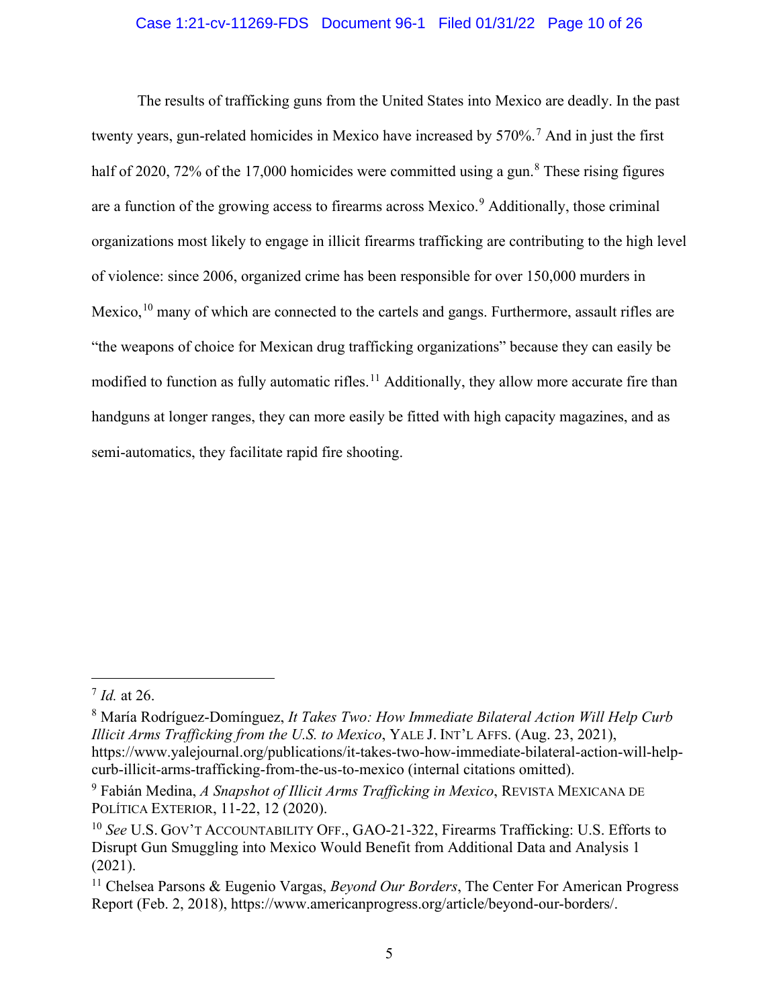#### Case 1:21-cv-11269-FDS Document 96-1 Filed 01/31/22 Page 10 of 26

The results of trafficking guns from the United States into Mexico are deadly. In the past twenty years, gun-related homicides in Mexico have increased by 5[7](#page-9-5)0%.<sup>7</sup> And in just the first half of 2020, 72% of the 17,000 homicides were committed using a gun.<sup>[8](#page-9-6)</sup> These rising figures are a function of the growing access to firearms across Mexico.<sup>[9](#page-9-7)</sup> Additionally, those criminal organizations most likely to engage in illicit firearms trafficking are contributing to the high level of violence: since 2006, organized crime has been responsible for over 150,000 murders in Mexico,<sup>[10](#page-9-8)</sup> many of which are connected to the cartels and gangs. Furthermore, assault rifles are "the weapons of choice for Mexican drug trafficking organizations" because they can easily be modified to function as fully automatic rifles.<sup>[11](#page-9-9)</sup> Additionally, they allow more accurate fire than handguns at longer ranges, they can more easily be fitted with high capacity magazines, and as semi-automatics, they facilitate rapid fire shooting.

<span id="page-9-5"></span><span id="page-9-1"></span><sup>7</sup> *Id.* at 26.

<span id="page-9-6"></span><span id="page-9-3"></span><sup>8</sup> María Rodríguez-Domínguez, *It Takes Two: How Immediate Bilateral Action Will Help Curb Illicit Arms Trafficking from the U.S. to Mexico*, YALE J. INT'L AFFS. (Aug. 23, 2021), https://www.yalejournal.org/publications/it-takes-two-how-immediate-bilateral-action-will-helpcurb-illicit-arms-trafficking-from-the-us-to-mexico (internal citations omitted).

<span id="page-9-7"></span><span id="page-9-2"></span><sup>9</sup> Fabián Medina, *A Snapshot of Illicit Arms Trafficking in Mexico*, REVISTA MEXICANA DE POLÍTICA EXTERIOR, 11-22, 12 (2020).

<span id="page-9-8"></span><span id="page-9-4"></span><sup>10</sup> *See* U.S. GOV'T ACCOUNTABILITY OFF., GAO-21-322, Firearms Trafficking: U.S. Efforts to Disrupt Gun Smuggling into Mexico Would Benefit from Additional Data and Analysis 1 (2021).

<span id="page-9-9"></span><span id="page-9-0"></span><sup>11</sup> Chelsea Parsons & Eugenio Vargas, *Beyond Our Borders*, The Center For American Progress Report (Feb. 2, 2018), https://www.americanprogress.org/article/beyond-our-borders/.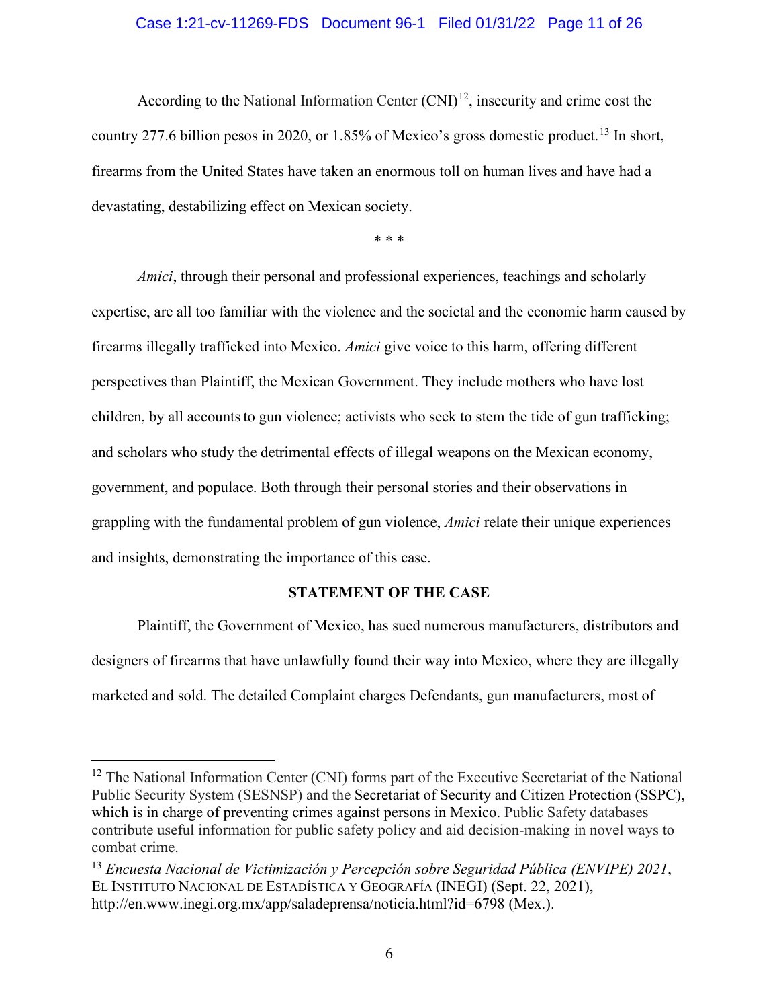#### Case 1:21-cv-11269-FDS Document 96-1 Filed 01/31/22 Page 11 of 26

According to the National Information Center  $(CNI)^{12}$ , insecurity and crime cost the country 277.6 billion pesos in 2020, or 1.85% of Mexico's gross domestic product.<sup>[13](#page-10-3)</sup> In short, firearms from the United States have taken an enormous toll on human lives and have had a devastating, destabilizing effect on Mexican society.

\* \* \*

*Amici*, through their personal and professional experiences, teachings and scholarly expertise, are all too familiar with the violence and the societal and the economic harm caused by firearms illegally trafficked into Mexico. *Amici* give voice to this harm, offering different perspectives than Plaintiff, the Mexican Government. They include mothers who have lost children, by all accounts to gun violence; activists who seek to stem the tide of gun trafficking; and scholars who study the detrimental effects of illegal weapons on the Mexican economy, government, and populace. Both through their personal stories and their observations in grappling with the fundamental problem of gun violence, *Amici* relate their unique experiences and insights, demonstrating the importance of this case.

#### **STATEMENT OF THE CASE**

<span id="page-10-0"></span>Plaintiff, the Government of Mexico, has sued numerous manufacturers, distributors and designers of firearms that have unlawfully found their way into Mexico, where they are illegally marketed and sold. The detailed Complaint charges Defendants, gun manufacturers, most of

<span id="page-10-2"></span><sup>&</sup>lt;sup>12</sup> The National Information Center (CNI) forms part of the Executive Secretariat of the National Public Security System (SESNSP) and the Secretariat of Security and Citizen Protection (SSPC), which is in charge of preventing crimes against persons in Mexico. Public Safety databases contribute useful information for public safety policy and aid decision-making in novel ways to combat crime.

<span id="page-10-3"></span><span id="page-10-1"></span><sup>13</sup> *Encuesta Nacional de Victimización y Percepción sobre Seguridad Pública (ENVIPE) 2021*, EL INSTITUTO NACIONAL DE ESTADÍSTICA Y GEOGRAFÍA (INEGI) (Sept. 22, 2021), http://en.www.inegi.org.mx/app/saladeprensa/noticia.html?id=6798 (Mex.).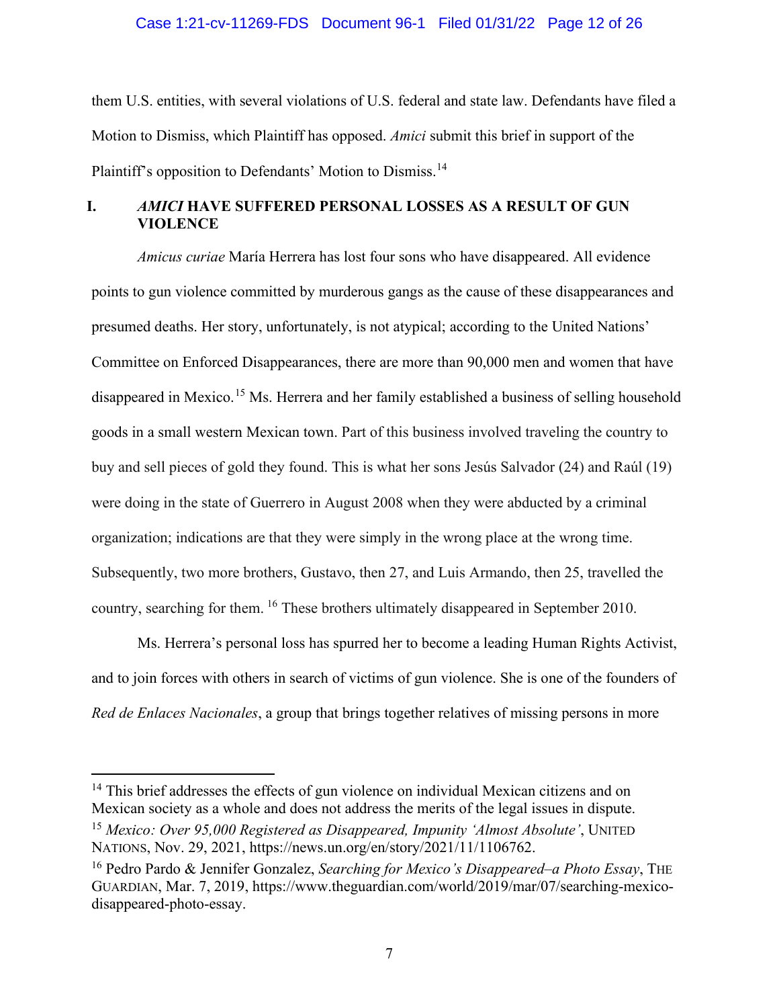#### Case 1:21-cv-11269-FDS Document 96-1 Filed 01/31/22 Page 12 of 26

them U.S. entities, with several violations of U.S. federal and state law. Defendants have filed a Motion to Dismiss, which Plaintiff has opposed. *Amici* submit this brief in support of the Plaintiff's opposition to Defendants' Motion to Dismiss.<sup>[14](#page-11-3)</sup>

### <span id="page-11-0"></span>**I.** *AMICI* **HAVE SUFFERED PERSONAL LOSSES AS A RESULT OF GUN VIOLENCE**

*Amicus curiae* María Herrera has lost four sons who have disappeared. All evidence points to gun violence committed by murderous gangs as the cause of these disappearances and presumed deaths. Her story, unfortunately, is not atypical; according to the United Nations' Committee on Enforced Disappearances, there are more than 90,000 men and women that have disappeared in Mexico.<sup>[15](#page-11-4)</sup> Ms. Herrera and her family established a business of selling household goods in a small western Mexican town. Part of this business involved traveling the country to buy and sell pieces of gold they found. This is what her sons Jesús Salvador (24) and Raúl (19) were doing in the state of Guerrero in August 2008 when they were abducted by a criminal organization; indications are that they were simply in the wrong place at the wrong time. Subsequently, two more brothers, Gustavo, then 27, and Luis Armando, then 25, travelled the country, searching for them. [16](#page-11-5) These brothers ultimately disappeared in September 2010.

Ms. Herrera's personal loss has spurred her to become a leading Human Rights Activist, and to join forces with others in search of victims of gun violence. She is one of the founders of *Red de Enlaces Nacionales*, a group that brings together relatives of missing persons in more

<span id="page-11-3"></span><sup>&</sup>lt;sup>14</sup> This brief addresses the effects of gun violence on individual Mexican citizens and on Mexican society as a whole and does not address the merits of the legal issues in dispute.

<span id="page-11-4"></span><span id="page-11-1"></span><sup>15</sup> *Mexico: Over 95,000 Registered as Disappeared, Impunity 'Almost Absolute'*, UNITED NATIONS, Nov. 29, 2021, https://news.un.org/en/story/2021/11/1106762.

<span id="page-11-5"></span><span id="page-11-2"></span><sup>16</sup> Pedro Pardo & Jennifer Gonzalez, *Searching for Mexico's Disappeared–a Photo Essay*, THE GUARDIAN, Mar. 7, 2019, https://www.theguardian.com/world/2019/mar/07/searching-mexicodisappeared-photo-essay.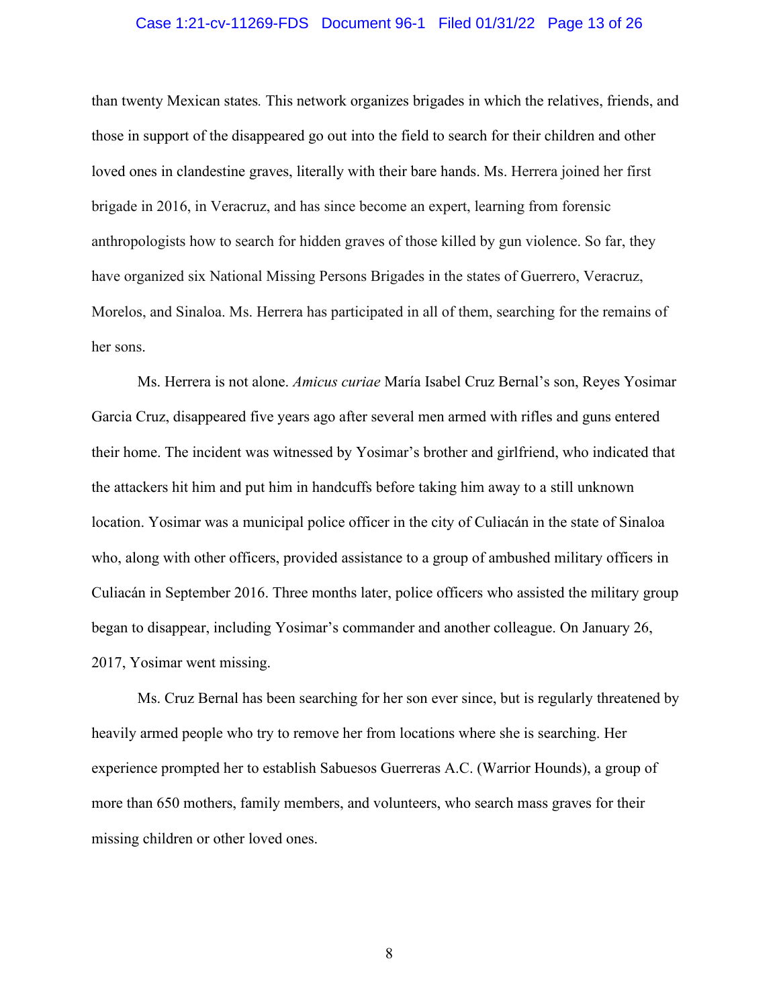#### Case 1:21-cv-11269-FDS Document 96-1 Filed 01/31/22 Page 13 of 26

than twenty Mexican states*.* This network organizes brigades in which the relatives, friends, and those in support of the disappeared go out into the field to search for their children and other loved ones in clandestine graves, literally with their bare hands. Ms. Herrera joined her first brigade in 2016, in Veracruz, and has since become an expert, learning from forensic anthropologists how to search for hidden graves of those killed by gun violence. So far, they have organized six National Missing Persons Brigades in the states of Guerrero, Veracruz, Morelos, and Sinaloa. Ms. Herrera has participated in all of them, searching for the remains of her sons.

Ms. Herrera is not alone. *Amicus curiae* María Isabel Cruz Bernal's son, Reyes Yosimar Garcia Cruz, disappeared five years ago after several men armed with rifles and guns entered their home. The incident was witnessed by Yosimar's brother and girlfriend, who indicated that the attackers hit him and put him in handcuffs before taking him away to a still unknown location. Yosimar was a municipal police officer in the city of Culiacán in the state of Sinaloa who, along with other officers, provided assistance to a group of ambushed military officers in Culiacán in September 2016. Three months later, police officers who assisted the military group began to disappear, including Yosimar's commander and another colleague. On January 26, 2017, Yosimar went missing.

Ms. Cruz Bernal has been searching for her son ever since, but is regularly threatened by heavily armed people who try to remove her from locations where she is searching. Her experience prompted her to establish Sabuesos Guerreras A.C. (Warrior Hounds), a group of more than 650 mothers, family members, and volunteers, who search mass graves for their missing children or other loved ones.

8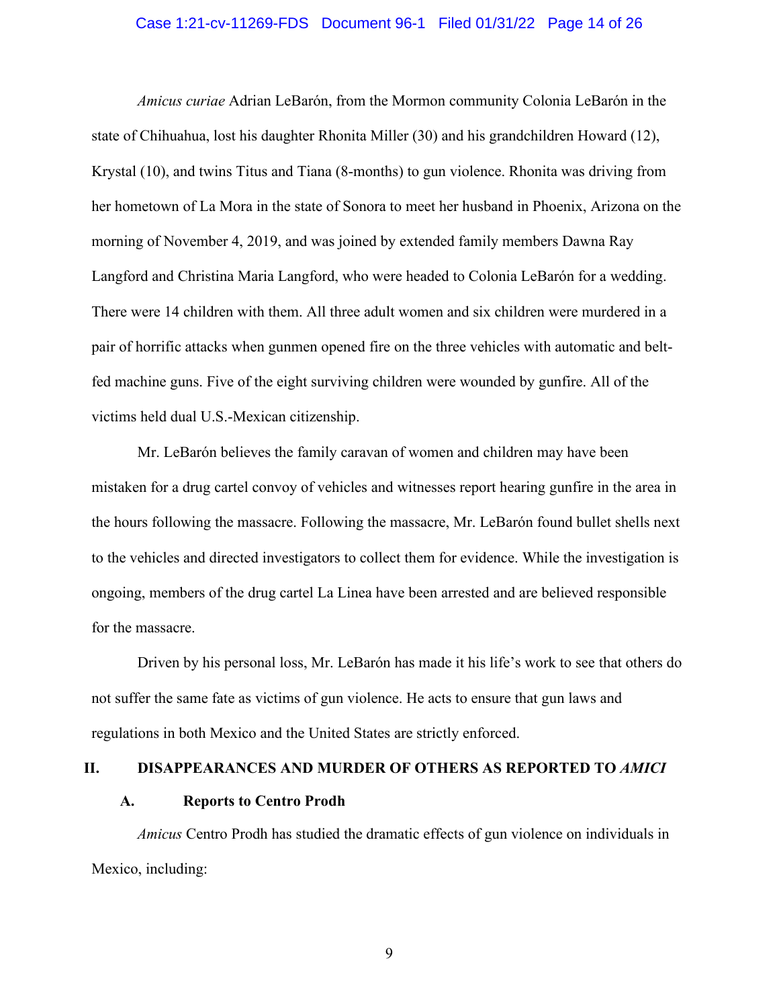#### Case 1:21-cv-11269-FDS Document 96-1 Filed 01/31/22 Page 14 of 26

*Amicus curiae* Adrian LeBarón, from the Mormon community Colonia LeBarón in the state of Chihuahua, lost his daughter Rhonita Miller (30) and his grandchildren Howard (12), Krystal (10), and twins Titus and Tiana (8-months) to gun violence. Rhonita was driving from her hometown of La Mora in the state of Sonora to meet her husband in Phoenix, Arizona on the morning of November 4, 2019, and was joined by extended family members Dawna Ray Langford and Christina Maria Langford, who were headed to Colonia LeBarón for a wedding. There were 14 children with them. All three adult women and six children were murdered in a pair of horrific attacks when gunmen opened fire on the three vehicles with automatic and beltfed machine guns. Five of the eight surviving children were wounded by gunfire. All of the victims held dual U.S.-Mexican citizenship.

Mr. LeBarón believes the family caravan of women and children may have been mistaken for a drug cartel convoy of vehicles and witnesses report hearing gunfire in the area in the hours following the massacre. Following the massacre, Mr. LeBarón found bullet shells next to the vehicles and directed investigators to collect them for evidence. While the investigation is ongoing, members of the drug cartel La Linea have been arrested and are believed responsible for the massacre.

Driven by his personal loss, Mr. LeBarón has made it his life's work to see that others do not suffer the same fate as victims of gun violence. He acts to ensure that gun laws and regulations in both Mexico and the United States are strictly enforced.

#### <span id="page-13-0"></span>**II. DISAPPEARANCES AND MURDER OF OTHERS AS REPORTED TO** *AMICI*

#### <span id="page-13-1"></span>**A. Reports to Centro Prodh**

*Amicus* Centro Prodh has studied the dramatic effects of gun violence on individuals in Mexico, including:

9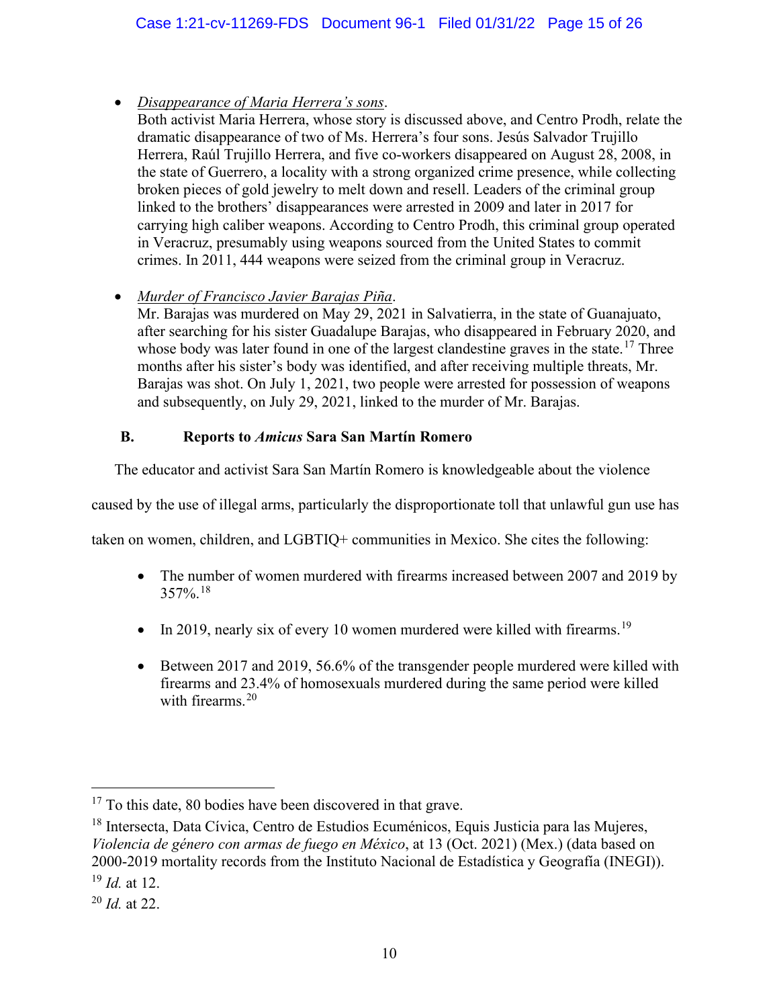- *Disappearance of Maria Herrera's sons*.
	- Both activist Maria Herrera, whose story is discussed above, and Centro Prodh, relate the dramatic disappearance of two of Ms. Herrera's four sons. Jesús Salvador Trujillo Herrera, Raúl Trujillo Herrera, and five co-workers disappeared on August 28, 2008, in the state of Guerrero, a locality with a strong organized crime presence, while collecting broken pieces of gold jewelry to melt down and resell. Leaders of the criminal group linked to the brothers' disappearances were arrested in 2009 and later in 2017 for carrying high caliber weapons. According to Centro Prodh, this criminal group operated in Veracruz, presumably using weapons sourced from the United States to commit crimes. In 2011, 444 weapons were seized from the criminal group in Veracruz.
- *Murder of Francisco Javier Barajas Piña*.
	- Mr. Barajas was murdered on May 29, 2021 in Salvatierra, in the state of Guanajuato, after searching for his sister Guadalupe Barajas, who disappeared in February 2020, and whose body was later found in one of the largest clandestine graves in the state.<sup>[17](#page-14-2)</sup> Three months after his sister's body was identified, and after receiving multiple threats, Mr. Barajas was shot. On July 1, 2021, two people were arrested for possession of weapons and subsequently, on July 29, 2021, linked to the murder of Mr. Barajas.

## <span id="page-14-0"></span>**B. Reports to** *Amicus* **Sara San Martín Romero**

The educator and activist Sara San Martín Romero is knowledgeable about the violence

caused by the use of illegal arms, particularly the disproportionate toll that unlawful gun use has

taken on women, children, and LGBTIQ+ communities in Mexico. She cites the following:

- The number of women murdered with firearms increased between 2007 and 2019 by  $357\%$ <sup>[18](#page-14-3)</sup>
- In 20[19](#page-14-4), nearly six of every 10 women murdered were killed with firearms.<sup>19</sup>
- Between 2017 and 2019, 56.6% of the transgender people murdered were killed with firearms and 23.4% of homosexuals murdered during the same period were killed with firearms.<sup>[20](#page-14-5)</sup>

<span id="page-14-2"></span> $17$  To this date, 80 bodies have been discovered in that grave.

<span id="page-14-3"></span><span id="page-14-1"></span><sup>18</sup> Intersecta, Data Cívica, Centro de Estudios Ecuménicos, Equis Justicia para las Mujeres, *Violencia de género con armas de fuego en México*, at 13 (Oct. 2021) (Mex.) (data based on 2000-2019 mortality records from the Instituto Nacional de Estadística y Geografía (INEGI)). <sup>19</sup> *Id.* at 12.

<span id="page-14-5"></span><span id="page-14-4"></span><sup>20</sup> *Id.* at 22.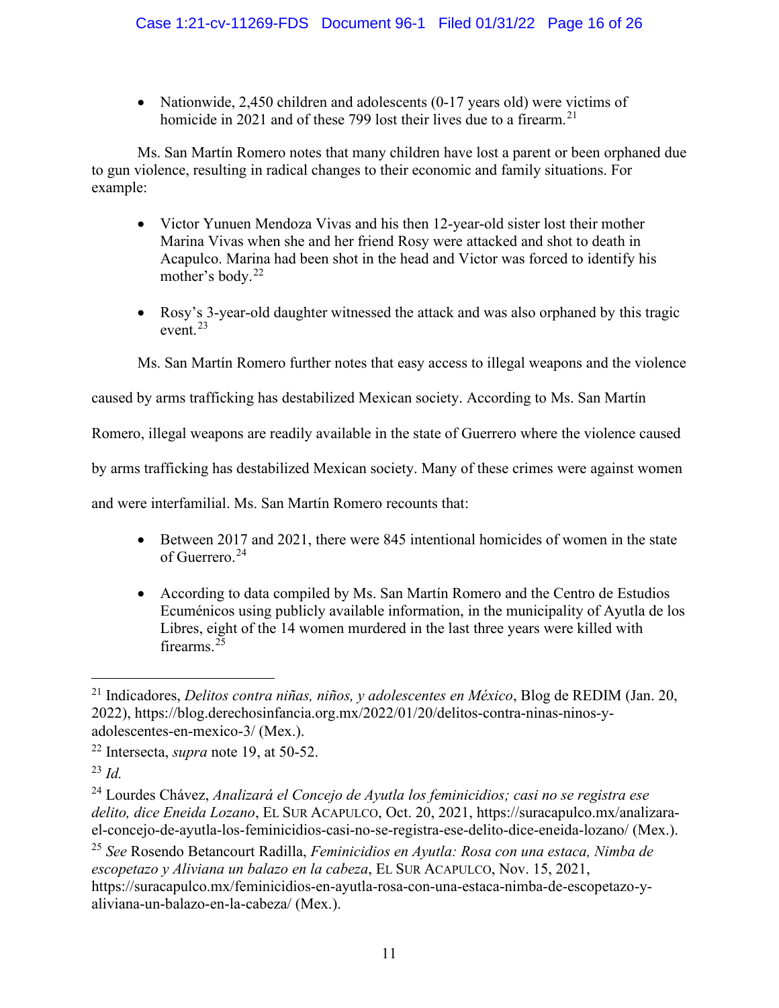• Nationwide, 2,450 children and adolescents (0-17 years old) were victims of homicide in 20[21](#page-15-4) and of these 799 lost their lives due to a firearm.<sup>21</sup>

Ms. San Martín Romero notes that many children have lost a parent or been orphaned due to gun violence, resulting in radical changes to their economic and family situations. For example:

- Victor Yunuen Mendoza Vivas and his then 12-year-old sister lost their mother Marina Vivas when she and her friend Rosy were attacked and shot to death in Acapulco. Marina had been shot in the head and Victor was forced to identify his mother's body.<sup>[22](#page-15-5)</sup>
- Rosy's 3-year-old daughter witnessed the attack and was also orphaned by this tragic event.[23](#page-15-6)

Ms. San Martín Romero further notes that easy access to illegal weapons and the violence

caused by arms trafficking has destabilized Mexican society. According to Ms. San Martín

Romero, illegal weapons are readily available in the state of Guerrero where the violence caused

by arms trafficking has destabilized Mexican society. Many of these crimes were against women

and were interfamilial. Ms. San Martín Romero recounts that:

- Between 2017 and 2021, there were 845 intentional homicides of women in the state of Guerrero.[24](#page-15-7)
- According to data compiled by Ms. San Martín Romero and the Centro de Estudios Ecuménicos using publicly available information, in the municipality of Ayutla de los Libres, eight of the 14 women murdered in the last three years were killed with firearms. $^{25}$  $^{25}$  $^{25}$

<span id="page-15-4"></span><span id="page-15-0"></span><sup>21</sup> Indicadores, *Delitos contra niñas, niños, y adolescentes en México*, Blog de REDIM (Jan. 20, 2022), https://blog.derechosinfancia.org.mx/2022/01/20/delitos-contra-ninas-ninos-yadolescentes-en-mexico-3/ (Mex.).

<span id="page-15-5"></span><span id="page-15-1"></span><sup>22</sup> Intersecta, *supra* note 19, at 50-52.

<span id="page-15-6"></span><sup>23</sup> *Id.*

<span id="page-15-7"></span><span id="page-15-2"></span><sup>24</sup> Lourdes Chávez, *Analizará el Concejo de Ayutla los feminicidios; casi no se registra ese delito, dice Eneida Lozano*, EL SUR ACAPULCO, Oct. 20, 2021, https://suracapulco.mx/analizarael-concejo-de-ayutla-los-feminicidios-casi-no-se-registra-ese-delito-dice-eneida-lozano/ (Mex.).

<span id="page-15-8"></span><span id="page-15-3"></span><sup>25</sup> *See* Rosendo Betancourt Radilla, *Feminicidios en Ayutla: Rosa con una estaca, Nimba de escopetazo y Aliviana un balazo en la cabeza*, EL SUR ACAPULCO, Nov. 15, 2021, https://suracapulco.mx/feminicidios-en-ayutla-rosa-con-una-estaca-nimba-de-escopetazo-yaliviana-un-balazo-en-la-cabeza/ (Mex.).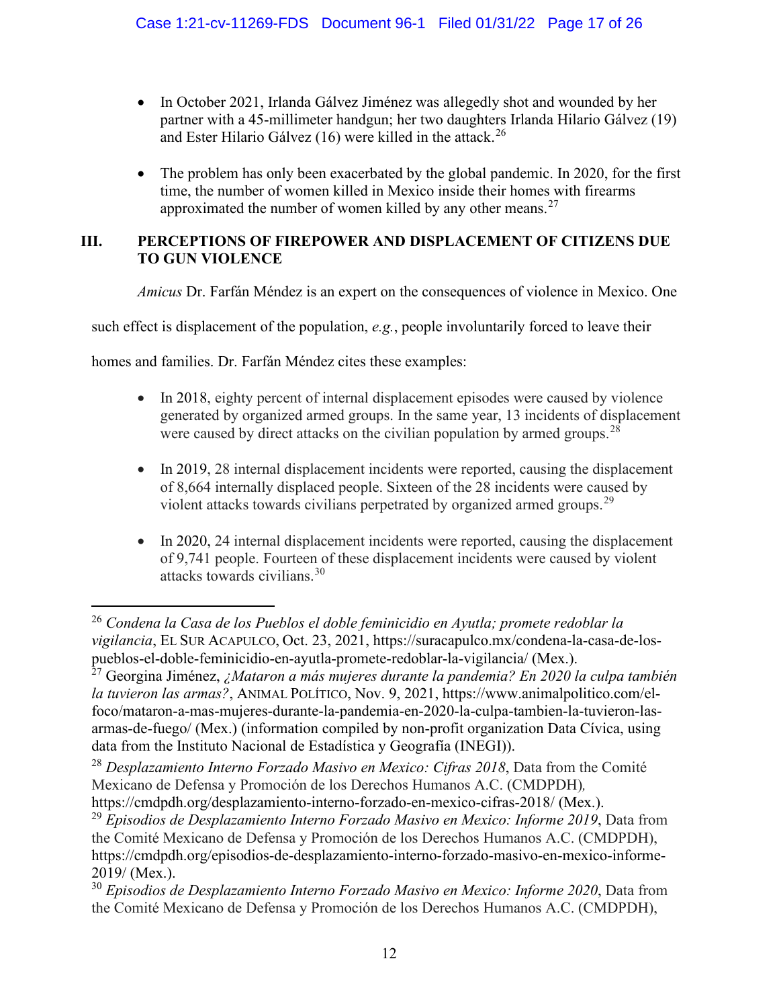- In October 2021, Irlanda Gálvez Jiménez was allegedly shot and wounded by her partner with a 45-millimeter handgun; her two daughters Irlanda Hilario Gálvez (19) and Ester Hilario Gálvez  $(16)$  were killed in the attack.<sup>[26](#page-16-6)</sup>
- The problem has only been exacerbated by the global pandemic. In 2020, for the first time, the number of women killed in Mexico inside their homes with firearms approximated the number of women killed by any other means.<sup>[27](#page-16-7)</sup>

## <span id="page-16-0"></span>**III. PERCEPTIONS OF FIREPOWER AND DISPLACEMENT OF CITIZENS DUE TO GUN VIOLENCE**

*Amicus* Dr. Farfán Méndez is an expert on the consequences of violence in Mexico. One

such effect is displacement of the population, *e.g.*, people involuntarily forced to leave their

homes and families. Dr. Farfán Méndez cites these examples:

- In 2018, eighty percent of internal displacement episodes were caused by violence generated by organized armed groups. In the same year, 13 incidents of displacement were caused by direct attacks on the civilian population by armed groups.<sup>[28](#page-16-8)</sup>
- In 2019, 28 internal displacement incidents were reported, causing the displacement of 8,664 internally displaced people. Sixteen of the 28 incidents were caused by violent attacks towards civilians perpetrated by organized armed groups.<sup>[29](#page-16-9)</sup>
- In 2020, 24 internal displacement incidents were reported, causing the displacement of 9,741 people. Fourteen of these displacement incidents were caused by violent attacks towards civilians.[30](#page-16-10)

<span id="page-16-7"></span><span id="page-16-5"></span><sup>27</sup> Georgina Jiménez, *¿Mataron a más mujeres durante la pandemia? En 2020 la culpa también la tuvieron las armas?*, ANIMAL POLÍTICO, Nov. 9, 2021, https://www.animalpolitico.com/elfoco/mataron-a-mas-mujeres-durante-la-pandemia-en-2020-la-culpa-tambien-la-tuvieron-lasarmas-de-fuego/ (Mex.) (information compiled by non-profit organization Data Cívica, using data from the Instituto Nacional de Estadística y Geografía (INEGI)).

<span id="page-16-6"></span><span id="page-16-1"></span><sup>26</sup> *Condena la Casa de los Pueblos el doble feminicidio en Ayutla; promete redoblar la vigilancia*, EL SUR ACAPULCO, Oct. 23, 2021, https://suracapulco.mx/condena-la-casa-de-lospueblos-el-doble-feminicidio-en-ayutla-promete-redoblar-la-vigilancia/ (Mex.).

<span id="page-16-8"></span><span id="page-16-2"></span><sup>28</sup> *Desplazamiento Interno Forzado Masivo en Mexico: Cifras 2018*, Data from the Comité Mexicano de Defensa y Promoción de los Derechos Humanos A.C. (CMDPDH)*,* https://cmdpdh.org/desplazamiento-interno-forzado-en-mexico-cifras-2018/ (Mex.).

<span id="page-16-9"></span><span id="page-16-3"></span><sup>29</sup> *Episodios de Desplazamiento Interno Forzado Masivo en Mexico: Informe 2019*, Data from the Comité Mexicano de Defensa y Promoción de los Derechos Humanos A.C. (CMDPDH), https://cmdpdh.org/episodios-de-desplazamiento-interno-forzado-masivo-en-mexico-informe-2019/ (Mex.).

<span id="page-16-10"></span><span id="page-16-4"></span><sup>30</sup> *Episodios de Desplazamiento Interno Forzado Masivo en Mexico: Informe 2020*, Data from the Comité Mexicano de Defensa y Promoción de los Derechos Humanos A.C. (CMDPDH),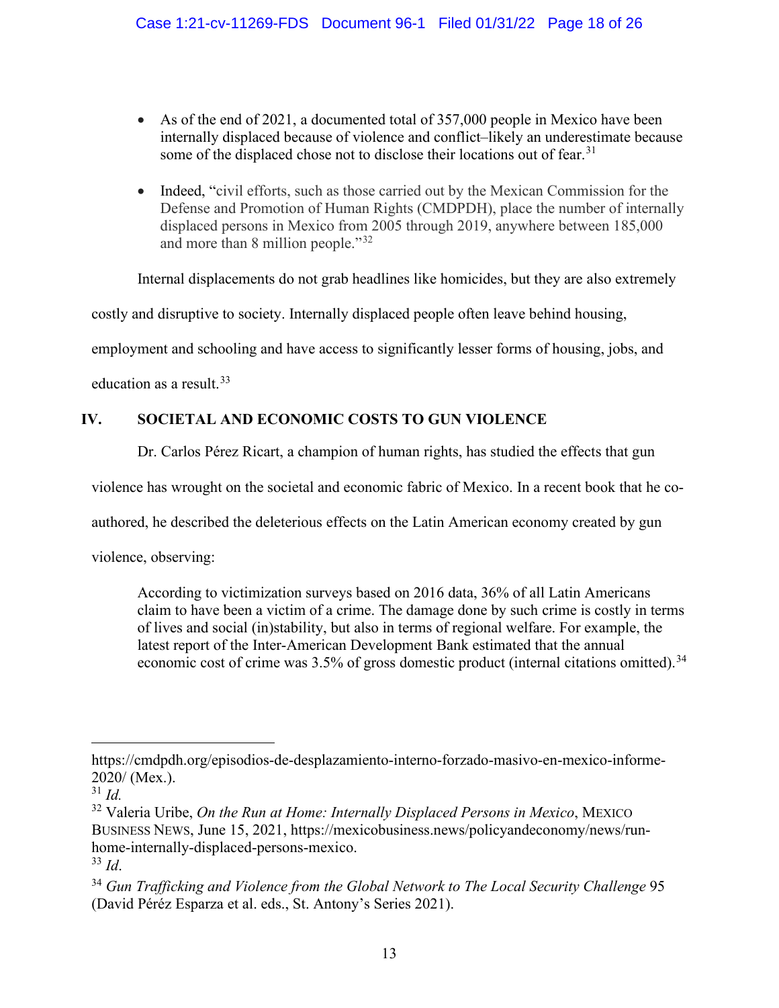- As of the end of 2021, a documented total of 357,000 people in Mexico have been internally displaced because of violence and conflict–likely an underestimate because some of the displaced chose not to disclose their locations out of fear.<sup>[31](#page-17-4)</sup>
- Indeed, "civil efforts, such as those carried out by the Mexican Commission for the Defense and Promotion of Human Rights (CMDPDH), place the number of internally displaced persons in Mexico from 2005 through 2019, anywhere between 185,000 and more than 8 million people."[32](#page-17-5)

Internal displacements do not grab headlines like homicides, but they are also extremely

costly and disruptive to society. Internally displaced people often leave behind housing,

employment and schooling and have access to significantly lesser forms of housing, jobs, and

education as a result.<sup>[33](#page-17-6)</sup>

## <span id="page-17-0"></span>**IV. SOCIETAL AND ECONOMIC COSTS TO GUN VIOLENCE**

Dr. Carlos Pérez Ricart, a champion of human rights, has studied the effects that gun

violence has wrought on the societal and economic fabric of Mexico. In a recent book that he co-

authored, he described the deleterious effects on the Latin American economy created by gun

violence, observing:

According to victimization surveys based on 2016 data, 36% of all Latin Americans claim to have been a victim of a crime. The damage done by such crime is costly in terms of lives and social (in)stability, but also in terms of regional welfare. For example, the latest report of the Inter-American Development Bank estimated that the annual economic cost of crime was  $3.5\%$  of gross domestic product (internal citations omitted).<sup>[34](#page-17-7)</sup>

https://cmdpdh.org/episodios-de-desplazamiento-interno-forzado-masivo-en-mexico-informe-2020/ (Mex.).

<span id="page-17-4"></span><span id="page-17-1"></span><sup>31</sup> *Id.*

<span id="page-17-5"></span><span id="page-17-3"></span><sup>&</sup>lt;sup>32</sup> Valeria Uribe, *On the Run at Home: Internally Displaced Persons in Mexico*, MEXICO BUSINESS NEWS, June 15, 2021, https://mexicobusiness.news/policyandeconomy/news/runhome-internally-displaced-persons-mexico. <sup>33</sup> *Id*.

<span id="page-17-7"></span><span id="page-17-6"></span><span id="page-17-2"></span><sup>34</sup> *Gun Trafficking and Violence from the Global Network to The Local Security Challenge* 95 (David Péréz Esparza et al. eds., St. Antony's Series 2021).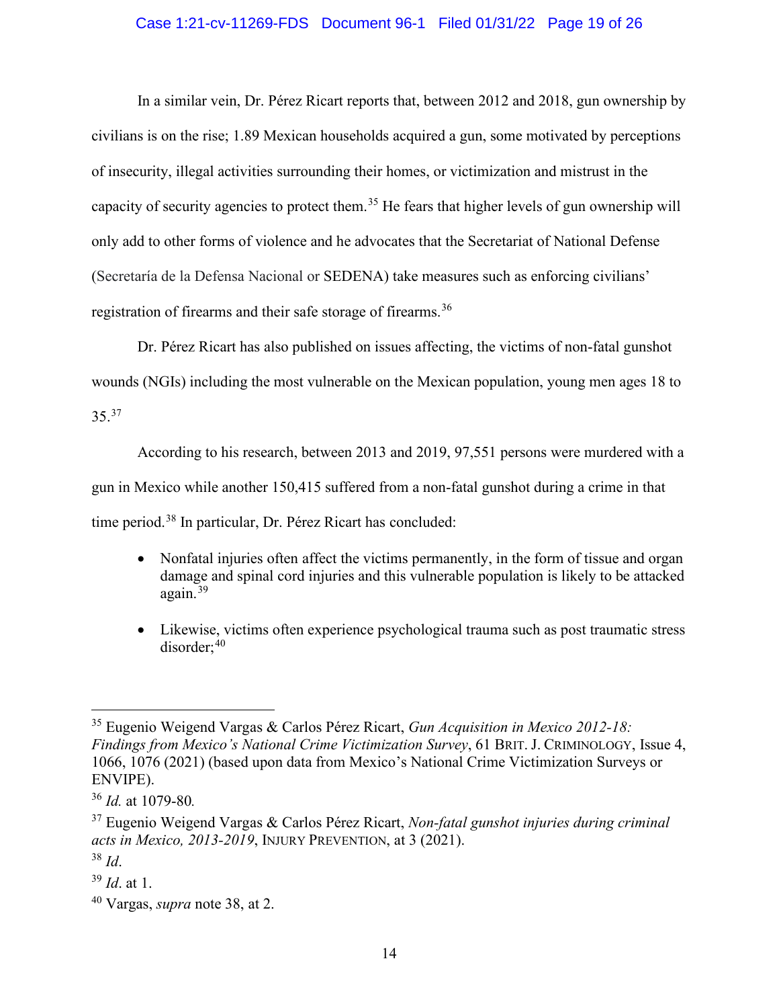#### Case 1:21-cv-11269-FDS Document 96-1 Filed 01/31/22 Page 19 of 26

In a similar vein, Dr. Pérez Ricart reports that, between 2012 and 2018, gun ownership by civilians is on the rise; 1.89 Mexican households acquired a gun, some motivated by perceptions of insecurity, illegal activities surrounding their homes, or victimization and mistrust in the capacity of security agencies to protect them.<sup>[35](#page-18-2)</sup> He fears that higher levels of gun ownership will only add to other forms of violence and he advocates that the Secretariat of National Defense (Secretaría de la Defensa Nacional or SEDENA) take measures such as enforcing civilians' registration of firearms and their safe storage of firearms.<sup>[36](#page-18-3)</sup>

Dr. Pérez Ricart has also published on issues affecting, the victims of non-fatal gunshot wounds (NGIs) including the most vulnerable on the Mexican population, young men ages 18 to 35.[37](#page-18-4)

According to his research, between 2013 and 2019, 97,551 persons were murdered with a

gun in Mexico while another 150,415 suffered from a non-fatal gunshot during a crime in that

time period.[38](#page-18-5) In particular, Dr. Pérez Ricart has concluded:

- Nonfatal injuries often affect the victims permanently, in the form of tissue and organ damage and spinal cord injuries and this vulnerable population is likely to be attacked again. [39](#page-18-6)
- Likewise, victims often experience psychological trauma such as post traumatic stress disorder; [40](#page-18-7)

<span id="page-18-2"></span><span id="page-18-0"></span><sup>35</sup> Eugenio Weigend Vargas & Carlos Pérez Ricart, *Gun Acquisition in Mexico 2012-18: Findings from Mexico's National Crime Victimization Survey*, 61 BRIT. J. CRIMINOLOGY, Issue 4, 1066, 1076 (2021) (based upon data from Mexico's National Crime Victimization Surveys or ENVIPE).

<span id="page-18-3"></span><sup>36</sup> *Id.* at 1079-80*.*

<span id="page-18-4"></span><span id="page-18-1"></span><sup>37</sup> Eugenio Weigend Vargas & Carlos Pérez Ricart, *Non-fatal gunshot injuries during criminal acts in Mexico, 2013-2019*, INJURY PREVENTION, at 3 (2021).

<span id="page-18-5"></span><sup>38</sup> *Id*.

<span id="page-18-6"></span><sup>39</sup> *Id*. at 1.

<span id="page-18-7"></span><sup>40</sup> Vargas, *supra* note 38, at 2.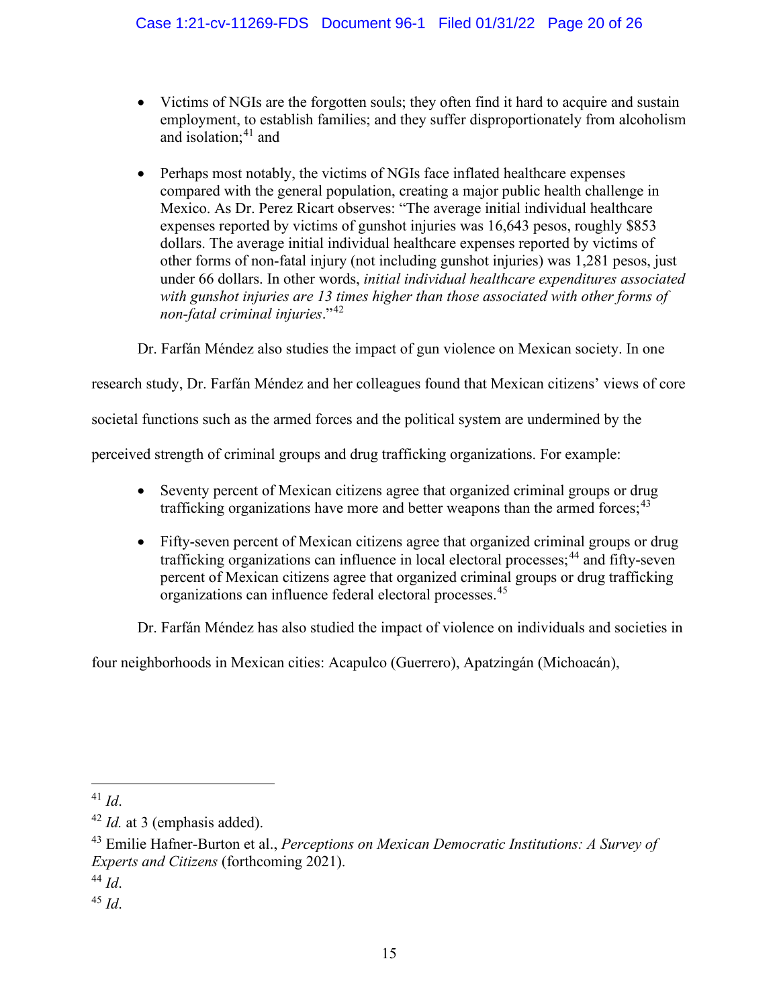- Victims of NGIs are the forgotten souls; they often find it hard to acquire and sustain employment, to establish families; and they suffer disproportionately from alcoholism and isolation; [41](#page-19-2) and
- Perhaps most notably, the victims of NGIs face inflated healthcare expenses compared with the general population, creating a major public health challenge in Mexico. As Dr. Perez Ricart observes: "The average initial individual healthcare expenses reported by victims of gunshot injuries was 16,643 pesos, roughly \$853 dollars. The average initial individual healthcare expenses reported by victims of other forms of non-fatal injury (not including gunshot injuries) was 1,281 pesos, just under 66 dollars. In other words, *initial individual healthcare expenditures associated with gunshot injuries are 13 times higher than those associated with other forms of non-fatal criminal injuries*."[42](#page-19-3)

Dr. Farfán Méndez also studies the impact of gun violence on Mexican society. In one

research study, Dr. Farfán Méndez and her colleagues found that Mexican citizens' views of core

societal functions such as the armed forces and the political system are undermined by the

perceived strength of criminal groups and drug trafficking organizations. For example:

- Seventy percent of Mexican citizens agree that organized criminal groups or drug trafficking organizations have more and better weapons than the armed forces;  $43$
- Fifty-seven percent of Mexican citizens agree that organized criminal groups or drug trafficking organizations can influence in local electoral processes;<sup>[44](#page-19-5)</sup> and fifty-seven percent of Mexican citizens agree that organized criminal groups or drug trafficking organizations can influence federal electoral processes.[45](#page-19-6)

Dr. Farfán Méndez has also studied the impact of violence on individuals and societies in

four neighborhoods in Mexican cities: Acapulco (Guerrero), Apatzingán (Michoacán),

<span id="page-19-2"></span><span id="page-19-1"></span><sup>41</sup> *Id*.

<span id="page-19-3"></span><sup>42</sup> *Id.* at 3 (emphasis added).

<span id="page-19-4"></span><span id="page-19-0"></span><sup>43</sup> Emilie Hafner-Burton et al., *Perceptions on Mexican Democratic Institutions: A Survey of Experts and Citizens* (forthcoming 2021).

<span id="page-19-5"></span><sup>44</sup> *Id*.

<span id="page-19-6"></span><sup>45</sup> *Id*.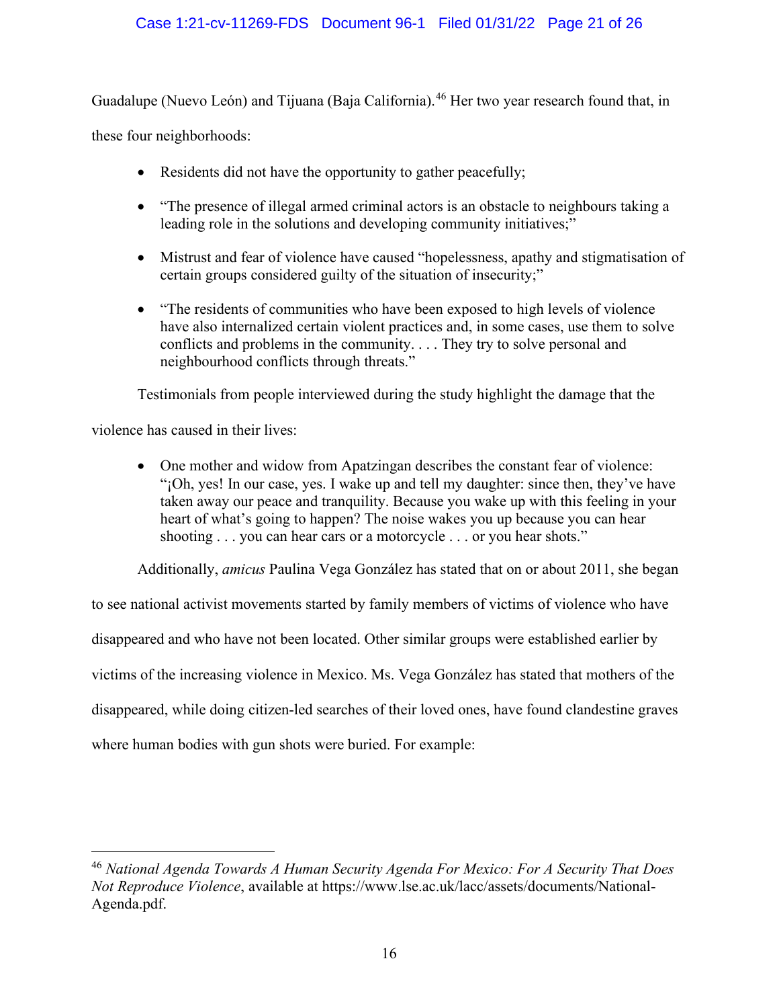## Case 1:21-cv-11269-FDS Document 96-1 Filed 01/31/22 Page 21 of 26

Guadalupe (Nuevo León) and Tijuana (Baja California).<sup>[46](#page-20-1)</sup> Her two year research found that, in

these four neighborhoods:

- Residents did not have the opportunity to gather peacefully;
- "The presence of illegal armed criminal actors is an obstacle to neighbours taking a leading role in the solutions and developing community initiatives;"
- Mistrust and fear of violence have caused "hopelessness, apathy and stigmatisation of certain groups considered guilty of the situation of insecurity;"
- "The residents of communities who have been exposed to high levels of violence have also internalized certain violent practices and, in some cases, use them to solve conflicts and problems in the community. . . . They try to solve personal and neighbourhood conflicts through threats."

Testimonials from people interviewed during the study highlight the damage that the

violence has caused in their lives:

• One mother and widow from Apatzingan describes the constant fear of violence: "¡Oh, yes! In our case, yes. I wake up and tell my daughter: since then, they've have taken away our peace and tranquility. Because you wake up with this feeling in your heart of what's going to happen? The noise wakes you up because you can hear shooting . . . you can hear cars or a motorcycle . . . or you hear shots."

Additionally, *amicus* Paulina Vega González has stated that on or about 2011, she began

to see national activist movements started by family members of victims of violence who have disappeared and who have not been located. Other similar groups were established earlier by victims of the increasing violence in Mexico. Ms. Vega González has stated that mothers of the disappeared, while doing citizen-led searches of their loved ones, have found clandestine graves where human bodies with gun shots were buried. For example:

<span id="page-20-1"></span><span id="page-20-0"></span><sup>46</sup> *National Agenda Towards A Human Security Agenda For Mexico: For A Security That Does Not Reproduce Violence*, available at https://www.lse.ac.uk/lacc/assets/documents/National-Agenda.pdf.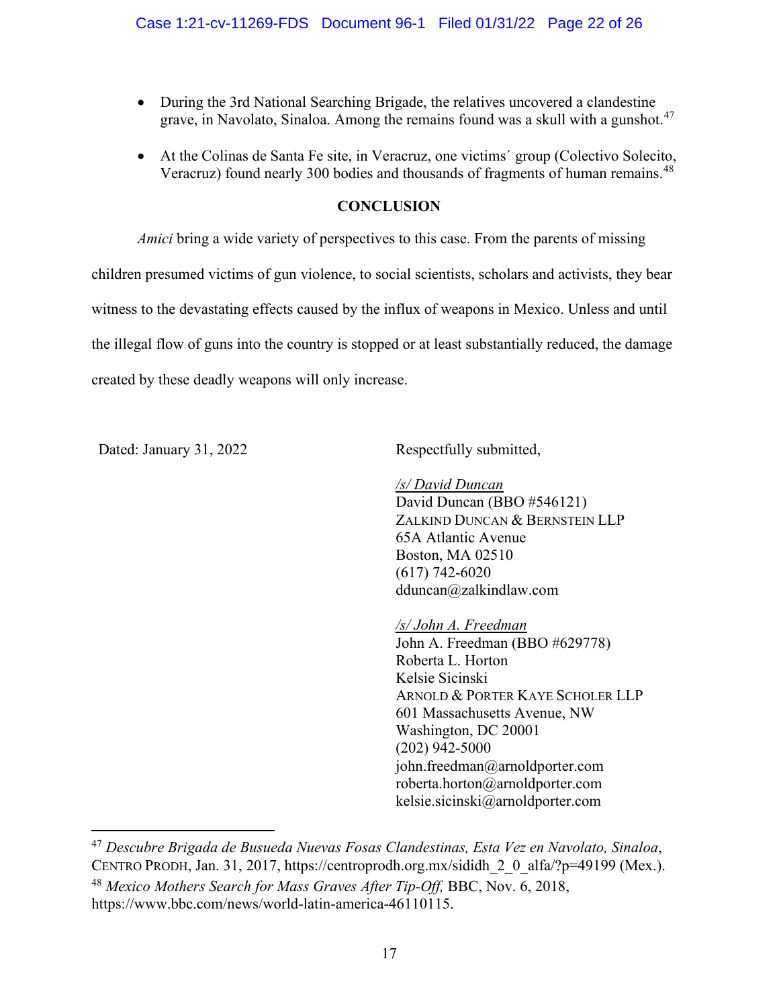- During the 3rd National Searching Brigade, the relatives uncovered a clandestine grave, in Navolato, Sinaloa. Among the remains found was a skull with a gunshot.<sup>[47](#page-21-3)</sup>
- At the Colinas de Santa Fe site, in Veracruz, one victims' group (Colectivo Solecito, Veracruz) found nearly 300 bodies and thousands of fragments of human remains.<sup>[48](#page-21-4)</sup>

## **CONCLUSION**

<span id="page-21-0"></span>*Amici* bring a wide variety of perspectives to this case. From the parents of missing children presumed victims of gun violence, to social scientists, scholars and activists, they bear witness to the devastating effects caused by the influx of weapons in Mexico. Unless and until the illegal flow of guns into the country is stopped or at least substantially reduced, the damage created by these deadly weapons will only increase.

Dated: January 31, 2022 Respectfully submitted,

*/s/ David Duncan*  David Duncan (BBO #546121) ZALKIND DUNCAN & BERNSTEIN LLP 65A Atlantic Avenue Boston, MA 02510 (617) 742-6020 dduncan@zalkindlaw.com

*/s/ John A. Freedman* John A. Freedman (BBO #629778) Roberta L. Horton Kelsie Sicinski ARNOLD & PORTER KAYE SCHOLER LLP 601 Massachusetts Avenue, NW Washington, DC 20001 (202) 942-5000 john.freedman@arnoldporter.com roberta.horton@arnoldporter.com kelsie.sicinski@arnoldporter.com

<span id="page-21-4"></span><span id="page-21-3"></span><span id="page-21-2"></span><span id="page-21-1"></span><sup>47</sup> *Descubre Brigada de Busueda Nuevas Fosas Clandestinas, Esta Vez en Navolato, Sinaloa*, CENTRO PRODH, Jan. 31, 2017, https://centroprodh.org.mx/sididh\_2\_0\_alfa/?p=49199 (Mex.). <sup>48</sup> *Mexico Mothers Search for Mass Graves After Tip-Off,* BBC, Nov. 6, 2018, https://www.bbc.com/news/world-latin-america-46110115.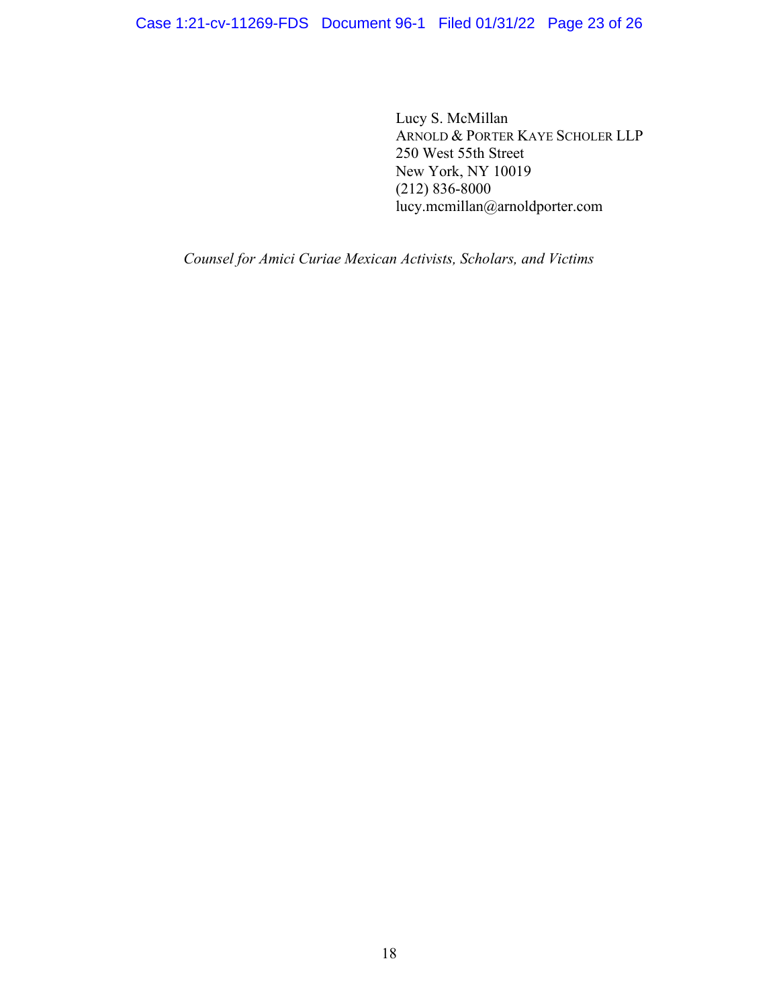Lucy S. McMillan ARNOLD & PORTER KAYE SCHOLER LLP 250 West 55th Street New York, NY 10019 (212) 836-8000 lucy.mcmillan@arnoldporter.com

*Counsel for Amici Curiae Mexican Activists, Scholars, and Victims*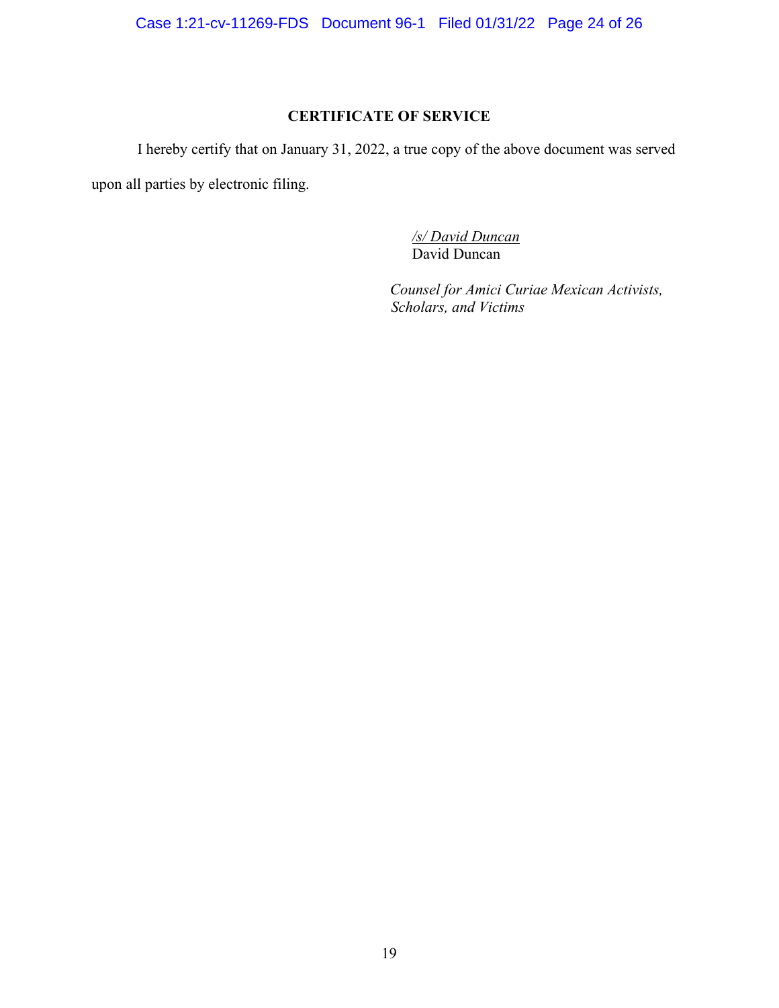Case 1:21-cv-11269-FDS Document 96-1 Filed 01/31/22 Page 24 of 26

## **CERTIFICATE OF SERVICE**

<span id="page-23-0"></span>I hereby certify that on January 31, 2022, a true copy of the above document was served upon all parties by electronic filing.

> */s/ David Duncan* David Duncan

*Counsel for Amici Curiae Mexican Activists, Scholars, and Victims*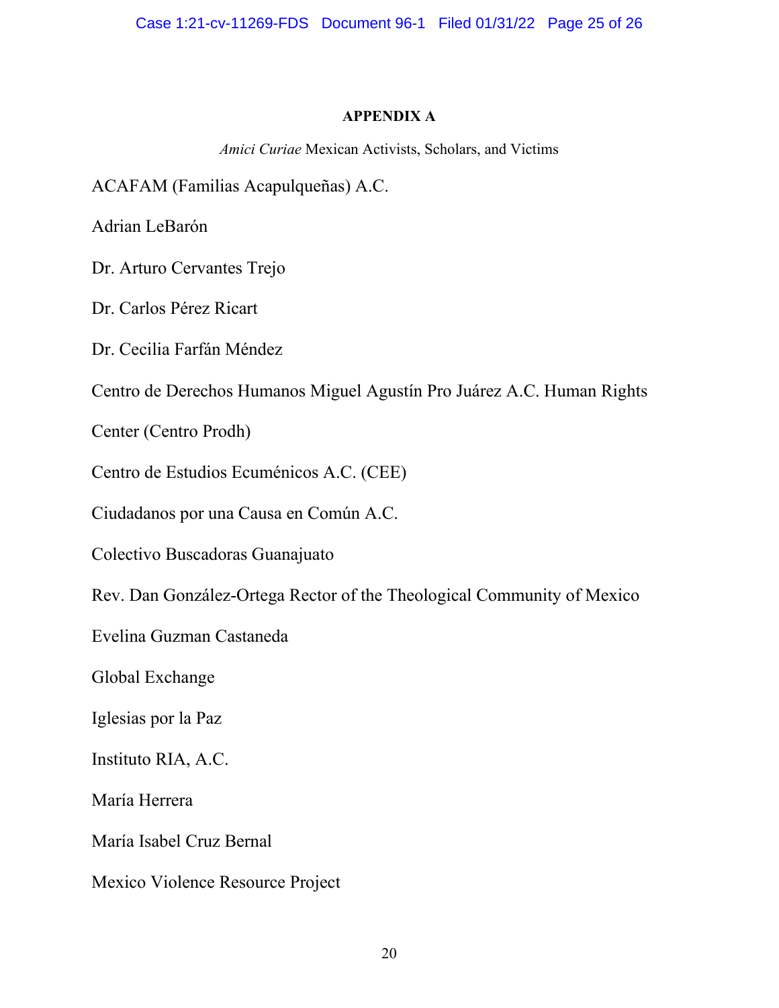## **APPENDIX A**

*Amici Curiae* Mexican Activists, Scholars, and Victims

<span id="page-24-0"></span>ACAFAM (Familias Acapulqueñas) A.C.

Adrian LeBarón

Dr. Arturo Cervantes Trejo

Dr. Carlos Pérez Ricart

Dr. Cecilia Farfán Méndez

Centro de Derechos Humanos Miguel Agustín Pro Juárez A.C. Human Rights

Center (Centro Prodh)

Centro de Estudios Ecuménicos A.C. (CEE)

Ciudadanos por una Causa en Común A.C.

Colectivo Buscadoras Guanajuato

Rev. Dan González-Ortega Rector of the Theological Community of Mexico

Evelina Guzman Castaneda

Global Exchange

Iglesias por la Paz

Instituto RIA, A.C.

María Herrera

María Isabel Cruz Bernal

Mexico Violence Resource Project